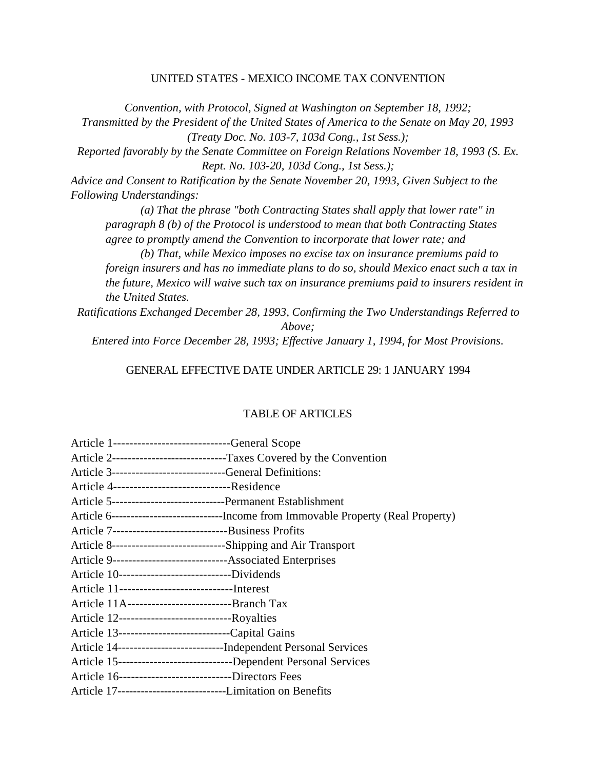#### UNITED STATES - MEXICO INCOME TAX CONVENTION

*Convention, with Protocol, Signed at Washington on September 18, 1992; Transmitted by the President of the United States of America to the Senate on May 20, 1993 (Treaty Doc. No. 103-7, 103d Cong., 1st Sess.);*

*Reported favorably by the Senate Committee on Foreign Relations November 18, 1993 (S. Ex. Rept. No. 103-20, 103d Cong., 1st Sess.);*

*Advice and Consent to Ratification by the Senate November 20, 1993, Given Subject to the Following Understandings:*

*(a) That the phrase "both Contracting States shall apply that lower rate" in paragraph 8 (b) of the Protocol is understood to mean that both Contracting States agree to promptly amend the Convention to incorporate that lower rate; and*

*(b) That, while Mexico imposes no excise tax on insurance premiums paid to foreign insurers and has no immediate plans to do so, should Mexico enact such a tax in the future, Mexico will waive such tax on insurance premiums paid to insurers resident in the United States.*

*Ratifications Exchanged December 28, 1993, Confirming the Two Understandings Referred to Above;*

*Entered into Force December 28, 1993; Effective January 1, 1994, for Most Provisions*.

#### GENERAL EFFECTIVE DATE UNDER ARTICLE 29: 1 JANUARY 1994

#### TABLE OF ARTICLES

|                                                    | Article 1-----------------------------General Scope                                    |
|----------------------------------------------------|----------------------------------------------------------------------------------------|
|                                                    | Article 2-----------------------------Taxes Covered by the Convention                  |
|                                                    | Article 3-----------------------------------General Definitions:                       |
|                                                    | Article 4--------------------------------Residence                                     |
|                                                    | Article 5----------------------------------Permanent Establishment                     |
|                                                    | Article 6-------------------------------Income from Immovable Property (Real Property) |
|                                                    |                                                                                        |
|                                                    | Article 8---------------------------------Shipping and Air Transport                   |
|                                                    | Article 9-------------------------------Associated Enterprises                         |
|                                                    | Article 10-----------------------------Dividends                                       |
|                                                    |                                                                                        |
|                                                    |                                                                                        |
| Article 12-------------------------------Royalties |                                                                                        |
|                                                    | Article 13-------------------------------Capital Gains                                 |
|                                                    | Article 14-------------------------------Independent Personal Services                 |
|                                                    | Article 15--------------------------------Dependent Personal Services                  |
|                                                    | Article 16----------------------------Directors Fees                                   |
|                                                    | Article 17------------------------------Limitation on Benefits                         |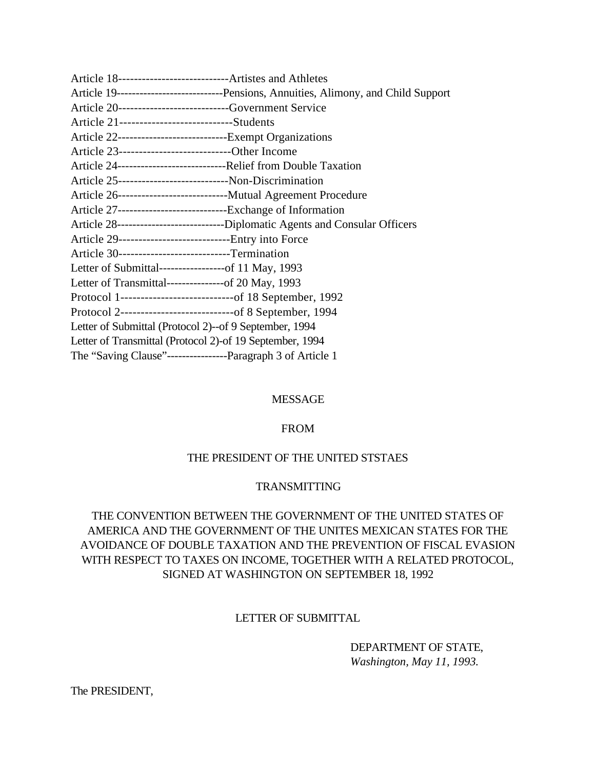| Article 18-------------------------------Artistes and Athletes                           |
|------------------------------------------------------------------------------------------|
| Article 19-------------------------------Pensions, Annuities, Alimony, and Child Support |
| Article 20---------------------------Government Service                                  |
| Article 21----------------------------Students                                           |
| Article 22------------------------------Exempt Organizations                             |
| Article 23---------------------------Other Income                                        |
| Article 24-----------------------------------Relief from Double Taxation                 |
| Article 25-----------------------------Non-Discrimination                                |
| Article 26--------------------------------Mutual Agreement Procedure                     |
| Article 27--------------------------------Exchange of Information                        |
| Article 28--------------------------------Diplomatic Agents and Consular Officers        |
| Article 29-----------------------------Entry into Force                                  |
| Article 30---------------------------Termination                                         |
| Letter of Submittal------------------of 11 May, 1993                                     |
| Letter of Transmittal---------------of 20 May, 1993                                      |
| Protocol 1-------------------------------of 18 September, 1992                           |
| Protocol 2-------------------------------of 8 September, 1994                            |
| Letter of Submittal (Protocol 2)--of 9 September, 1994                                   |
| Letter of Transmittal (Protocol 2)-of 19 September, 1994                                 |
|                                                                                          |
|                                                                                          |

#### MESSAGE

### FROM

# THE PRESIDENT OF THE UNITED STSTAES

# TRANSMITTING

# THE CONVENTION BETWEEN THE GOVERNMENT OF THE UNITED STATES OF AMERICA AND THE GOVERNMENT OF THE UNITES MEXICAN STATES FOR THE AVOIDANCE OF DOUBLE TAXATION AND THE PREVENTION OF FISCAL EVASION WITH RESPECT TO TAXES ON INCOME, TOGETHER WITH A RELATED PROTOCOL, SIGNED AT WASHINGTON ON SEPTEMBER 18, 1992

### LETTER OF SUBMITTAL

DEPARTMENT OF STATE, *Washington, May 11, 1993.*

The PRESIDENT,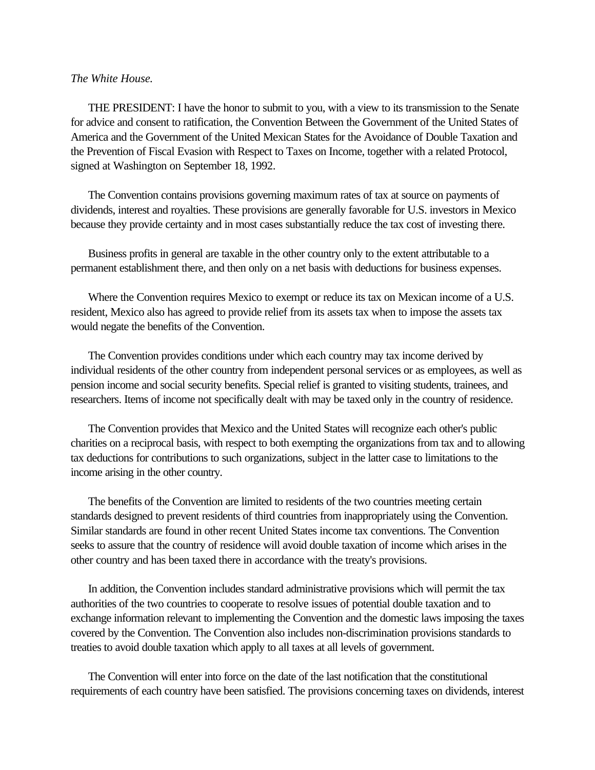#### *The White House.*

 THE PRESIDENT: I have the honor to submit to you, with a view to its transmission to the Senate for advice and consent to ratification, the Convention Between the Government of the United States of America and the Government of the United Mexican States for the Avoidance of Double Taxation and the Prevention of Fiscal Evasion with Respect to Taxes on Income, together with a related Protocol, signed at Washington on September 18, 1992.

 The Convention contains provisions governing maximum rates of tax at source on payments of dividends, interest and royalties. These provisions are generally favorable for U.S. investors in Mexico because they provide certainty and in most cases substantially reduce the tax cost of investing there.

 Business profits in general are taxable in the other country only to the extent attributable to a permanent establishment there, and then only on a net basis with deductions for business expenses.

 Where the Convention requires Mexico to exempt or reduce its tax on Mexican income of a U.S. resident, Mexico also has agreed to provide relief from its assets tax when to impose the assets tax would negate the benefits of the Convention.

 The Convention provides conditions under which each country may tax income derived by individual residents of the other country from independent personal services or as employees, as well as pension income and social security benefits. Special relief is granted to visiting students, trainees, and researchers. Items of income not specifically dealt with may be taxed only in the country of residence.

 The Convention provides that Mexico and the United States will recognize each other's public charities on a reciprocal basis, with respect to both exempting the organizations from tax and to allowing tax deductions for contributions to such organizations, subject in the latter case to limitations to the income arising in the other country.

 The benefits of the Convention are limited to residents of the two countries meeting certain standards designed to prevent residents of third countries from inappropriately using the Convention. Similar standards are found in other recent United States income tax conventions. The Convention seeks to assure that the country of residence will avoid double taxation of income which arises in the other country and has been taxed there in accordance with the treaty's provisions.

 In addition, the Convention includes standard administrative provisions which will permit the tax authorities of the two countries to cooperate to resolve issues of potential double taxation and to exchange information relevant to implementing the Convention and the domestic laws imposing the taxes covered by the Convention. The Convention also includes non-discrimination provisions standards to treaties to avoid double taxation which apply to all taxes at all levels of government.

 The Convention will enter into force on the date of the last notification that the constitutional requirements of each country have been satisfied. The provisions concerning taxes on dividends, interest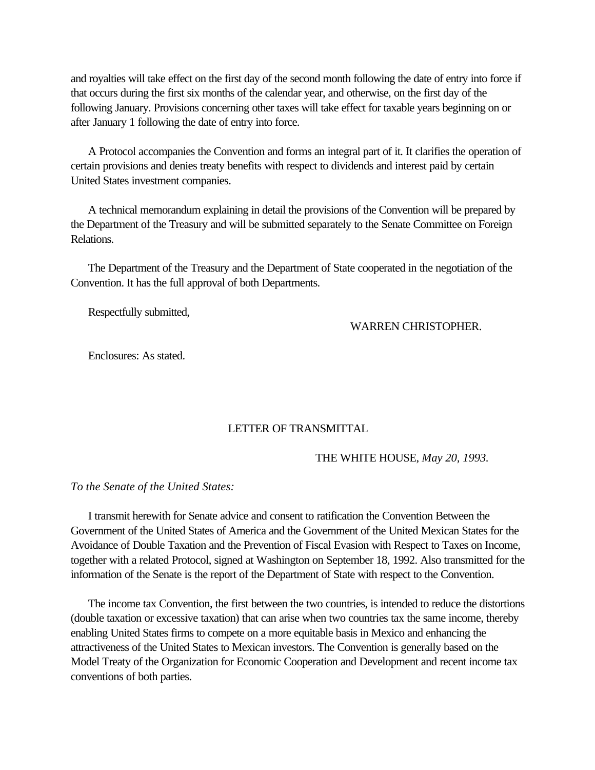<span id="page-3-0"></span>and royalties will take effect on the first day of the second month following the date of entry into force if that occurs during the first six months of the calendar year, and otherwise, on the first day of the following January. Provisions concerning other taxes will take effect for taxable years beginning on or after January 1 following the date of entry into force.

 A Protocol accompanies the Convention and forms an integral part of it. It clarifies the operation of certain provisions and denies treaty benefits with respect to dividends and interest paid by certain United States investment companies.

 A technical memorandum explaining in detail the provisions of the Convention will be prepared by the Department of the Treasury and will be submitted separately to the Senate Committee on Foreign Relations.

 The Department of the Treasury and the Department of State cooperated in the negotiation of the Convention. It has the full approval of both Departments.

Respectfully submitted,

#### WARREN CHRISTOPHER.

Enclosures: As stated.

### LETTER OF TRANSMITTAL

#### THE WHITE HOUSE, *May 20, 1993.*

*To the Senate of the United States:*

 I transmit herewith for Senate advice and consent to ratification the Convention Between the Government of the United States of America and the Government of the United Mexican States for the Avoidance of Double Taxation and the Prevention of Fiscal Evasion with Respect to Taxes on Income, together with a related Protocol, signed at Washington on September 18, 1992. Also transmitted for the information of the Senate is the report of the Department of State with respect to the Convention.

 The income tax Convention, the first between the two countries, is intended to reduce the distortions (double taxation or excessive taxation) that can arise when two countries tax the same income, thereby enabling United States firms to compete on a more equitable basis in Mexico and enhancing the attractiveness of the United States to Mexican investors. The Convention is generally based on the Model Treaty of the Organization for Economic Cooperation and Development and recent income tax conventions of both parties.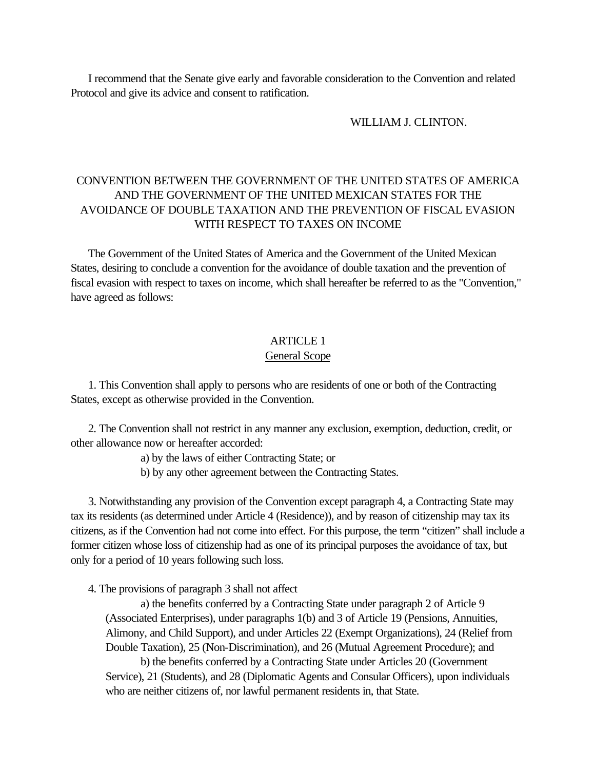<span id="page-4-0"></span> I recommend that the Senate give early and favorable consideration to the Convention and related Protocol and give its advice and consent to ratification.

#### WILLIAM J. CLINTON.

# CONVENTION BETWEEN THE GOVERNMENT OF THE UNITED STATES OF AMERICA AND THE GOVERNMENT OF THE UNITED MEXICAN STATES FOR THE AVOIDANCE OF DOUBLE TAXATION AND THE PREVENTION OF FISCAL EVASION WITH RESPECT TO TAXES ON INCOME

 The Government of the United States of America and the Government of the United Mexican States, desiring to conclude a convention for the avoidance of double taxation and the prevention of fiscal evasion with respect to taxes on income, which shall hereafter be referred to as the "Convention," have agreed as follows:

# ARTICLE 1

# General Scope

 1. This Convention shall apply to persons who are residents of one or both of the Contracting States, except as otherwise provided in the Convention.

 2. The Convention shall not restrict in any manner any exclusion, exemption, deduction, credit, or other allowance now or hereafter accorded:

a) by the laws of either Contracting State; or

b) by any other agreement between the Contracting States.

 3. Notwithstanding any provision of the Convention except paragraph 4, a Contracting State may tax its residents (as determined under Article 4 (Residence)), and by reason of citizenship may tax its citizens, as if the Convention had not come into effect. For this purpose, the term "citizen" shall include a former citizen whose loss of citizenship had as one of its principal purposes the avoidance of tax, but only for a period of 10 years following such loss.

4. The provisions of paragraph 3 shall not affect

a) the benefits conferred by a Contracting State under paragraph 2 of Article 9 (Associated Enterprises), under paragraphs 1(b) and 3 of Article 19 (Pensions, Annuities, Alimony, and Child Support), and under Articles 22 (Exempt Organizations), 24 (Relief from Double Taxation), 25 (Non-Discrimination), and 26 (Mutual Agreement Procedure); and

b) the benefits conferred by a Contracting State under Articles 20 (Government Service), 21 (Students), and 28 (Diplomatic Agents and Consular Officers), upon individuals who are neither citizens of, nor lawful permanent residents in, that State.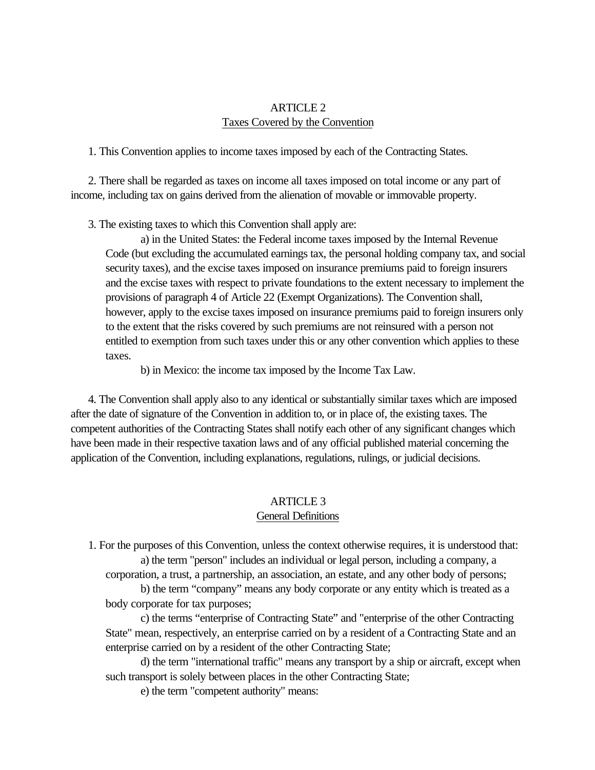## ARTICLE 2 Taxes Covered by the Convention

<span id="page-5-0"></span>1. This Convention applies to income taxes imposed by each of the Contracting States.

 2. There shall be regarded as taxes on income all taxes imposed on total income or any part of income, including tax on gains derived from the alienation of movable or immovable property.

3. The existing taxes to which this Convention shall apply are:

a) in the United States: the Federal income taxes imposed by the Internal Revenue Code (but excluding the accumulated earnings tax, the personal holding company tax, and social security taxes), and the excise taxes imposed on insurance premiums paid to foreign insurers and the excise taxes with respect to private foundations to the extent necessary to implement the provisions of paragraph 4 of Article 22 (Exempt Organizations). The Convention shall, however, apply to the excise taxes imposed on insurance premiums paid to foreign insurers only to the extent that the risks covered by such premiums are not reinsured with a person not entitled to exemption from such taxes under this or any other convention which applies to these taxes.

b) in Mexico: the income tax imposed by the Income Tax Law.

 4. The Convention shall apply also to any identical or substantially similar taxes which are imposed after the date of signature of the Convention in addition to, or in place of, the existing taxes. The competent authorities of the Contracting States shall notify each other of any significant changes which have been made in their respective taxation laws and of any official published material concerning the application of the Convention, including explanations, regulations, rulings, or judicial decisions.

### ARTICLE 3

### General Definitions

 1. For the purposes of this Convention, unless the context otherwise requires, it is understood that: a) the term "person" includes an individual or legal person, including a company, a

corporation, a trust, a partnership, an association, an estate, and any other body of persons; b) the term "company" means any body corporate or any entity which is treated as a

body corporate for tax purposes;

c) the terms "enterprise of Contracting State" and "enterprise of the other Contracting State" mean, respectively, an enterprise carried on by a resident of a Contracting State and an enterprise carried on by a resident of the other Contracting State;

d) the term "international traffic" means any transport by a ship or aircraft, except when such transport is solely between places in the other Contracting State;

e) the term "competent authority" means: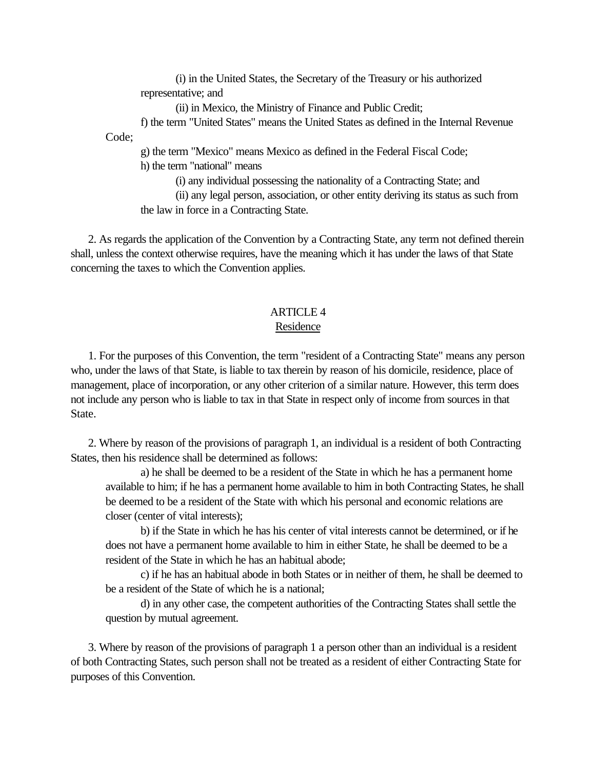<span id="page-6-0"></span>(i) in the United States, the Secretary of the Treasury or his authorized representative; and

(ii) in Mexico, the Ministry of Finance and Public Credit;

f) the term "United States" means the United States as defined in the Internal Revenue

Code;

g) the term "Mexico" means Mexico as defined in the Federal Fiscal Code; h) the term "national" means

(i) any individual possessing the nationality of a Contracting State; and

(ii) any legal person, association, or other entity deriving its status as such from the law in force in a Contracting State.

 2. As regards the application of the Convention by a Contracting State, any term not defined therein shall, unless the context otherwise requires, have the meaning which it has under the laws of that State concerning the taxes to which the Convention applies.

# ARTICLE 4

# Residence

 1. For the purposes of this Convention, the term "resident of a Contracting State" means any person who, under the laws of that State, is liable to tax therein by reason of his domicile, residence, place of management, place of incorporation, or any other criterion of a similar nature. However, this term does not include any person who is liable to tax in that State in respect only of income from sources in that State.

 2. Where by reason of the provisions of paragraph 1, an individual is a resident of both Contracting States, then his residence shall be determined as follows:

a) he shall be deemed to be a resident of the State in which he has a permanent home available to him; if he has a permanent home available to him in both Contracting States, he shall be deemed to be a resident of the State with which his personal and economic relations are closer (center of vital interests);

b) if the State in which he has his center of vital interests cannot be determined, or if he does not have a permanent home available to him in either State, he shall be deemed to be a resident of the State in which he has an habitual abode;

c) if he has an habitual abode in both States or in neither of them, he shall be deemed to be a resident of the State of which he is a national;

d) in any other case, the competent authorities of the Contracting States shall settle the question by mutual agreement.

 3. Where by reason of the provisions of paragraph 1 a person other than an individual is a resident of both Contracting States, such person shall not be treated as a resident of either Contracting State for purposes of this Convention.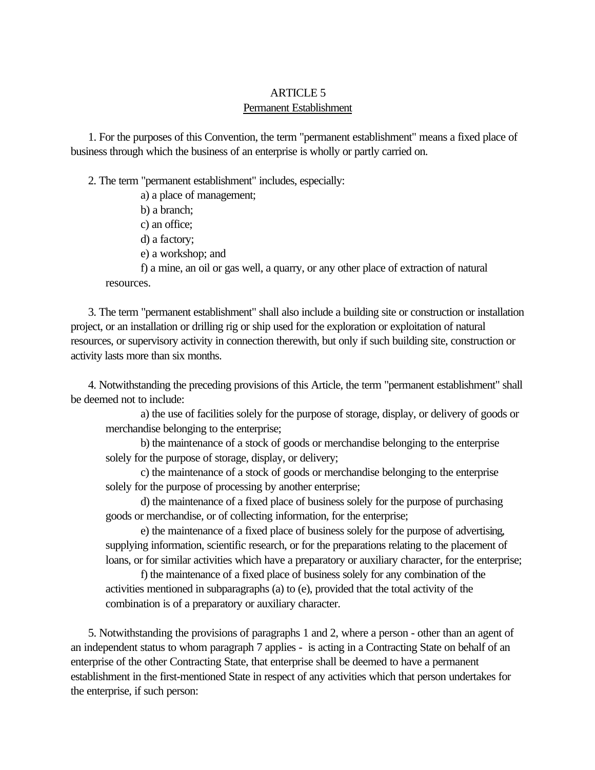# ARTICLE 5 Permanent Establishment

<span id="page-7-0"></span> 1. For the purposes of this Convention, the term "permanent establishment" means a fixed place of business through which the business of an enterprise is wholly or partly carried on.

2. The term "permanent establishment" includes, especially:

a) a place of management; b) a branch; c) an office; d) a factory; e) a workshop; and f) a mine, an oil or gas well, a quarry, or any other place of extraction of natural resources.

 3. The term "permanent establishment" shall also include a building site or construction or installation project, or an installation or drilling rig or ship used for the exploration or exploitation of natural resources, or supervisory activity in connection therewith, but only if such building site, construction or activity lasts more than six months.

 4. Notwithstanding the preceding provisions of this Article, the term "permanent establishment" shall be deemed not to include:

a) the use of facilities solely for the purpose of storage, display, or delivery of goods or merchandise belonging to the enterprise;

b) the maintenance of a stock of goods or merchandise belonging to the enterprise solely for the purpose of storage, display, or delivery;

c) the maintenance of a stock of goods or merchandise belonging to the enterprise solely for the purpose of processing by another enterprise;

d) the maintenance of a fixed place of business solely for the purpose of purchasing goods or merchandise, or of collecting information, for the enterprise;

e) the maintenance of a fixed place of business solely for the purpose of advertising, supplying information, scientific research, or for the preparations relating to the placement of loans, or for similar activities which have a preparatory or auxiliary character, for the enterprise;

f) the maintenance of a fixed place of business solely for any combination of the activities mentioned in subparagraphs (a) to (e), provided that the total activity of the combination is of a preparatory or auxiliary character.

 5. Notwithstanding the provisions of paragraphs 1 and 2, where a person - other than an agent of an independent status to whom paragraph 7 applies - is acting in a Contracting State on behalf of an enterprise of the other Contracting State, that enterprise shall be deemed to have a permanent establishment in the first-mentioned State in respect of any activities which that person undertakes for the enterprise, if such person: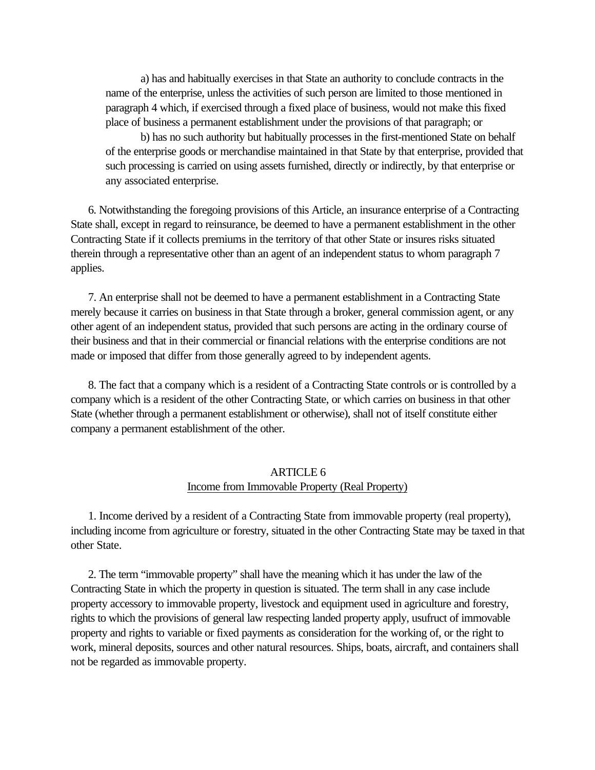<span id="page-8-0"></span>a) has and habitually exercises in that State an authority to conclude contracts in the name of the enterprise, unless the activities of such person are limited to those mentioned in paragraph 4 which, if exercised through a fixed place of business, would not make this fixed place of business a permanent establishment under the provisions of that paragraph; or

b) has no such authority but habitually processes in the first-mentioned State on behalf of the enterprise goods or merchandise maintained in that State by that enterprise, provided that such processing is carried on using assets furnished, directly or indirectly, by that enterprise or any associated enterprise.

 6. Notwithstanding the foregoing provisions of this Article, an insurance enterprise of a Contracting State shall, except in regard to reinsurance, be deemed to have a permanent establishment in the other Contracting State if it collects premiums in the territory of that other State or insures risks situated therein through a representative other than an agent of an independent status to whom paragraph 7 applies.

 7. An enterprise shall not be deemed to have a permanent establishment in a Contracting State merely because it carries on business in that State through a broker, general commission agent, or any other agent of an independent status, provided that such persons are acting in the ordinary course of their business and that in their commercial or financial relations with the enterprise conditions are not made or imposed that differ from those generally agreed to by independent agents.

 8. The fact that a company which is a resident of a Contracting State controls or is controlled by a company which is a resident of the other Contracting State, or which carries on business in that other State (whether through a permanent establishment or otherwise), shall not of itself constitute either company a permanent establishment of the other.

### ARTICLE 6 Income from Immovable Property (Real Property)

 1. Income derived by a resident of a Contracting State from immovable property (real property), including income from agriculture or forestry, situated in the other Contracting State may be taxed in that other State.

 2. The term "immovable property" shall have the meaning which it has under the law of the Contracting State in which the property in question is situated. The term shall in any case include property accessory to immovable property, livestock and equipment used in agriculture and forestry, rights to which the provisions of general law respecting landed property apply, usufruct of immovable property and rights to variable or fixed payments as consideration for the working of, or the right to work, mineral deposits, sources and other natural resources. Ships, boats, aircraft, and containers shall not be regarded as immovable property.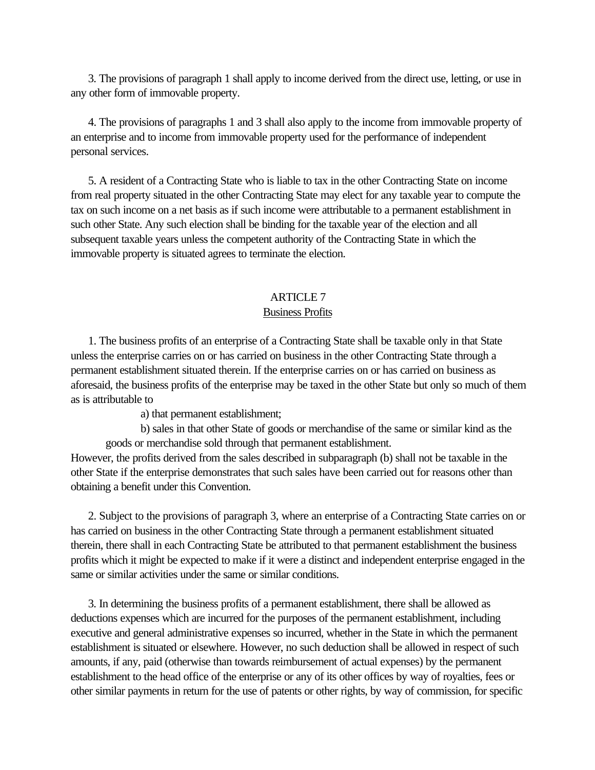<span id="page-9-0"></span> 3. The provisions of paragraph 1 shall apply to income derived from the direct use, letting, or use in any other form of immovable property.

 4. The provisions of paragraphs 1 and 3 shall also apply to the income from immovable property of an enterprise and to income from immovable property used for the performance of independent personal services.

 5. A resident of a Contracting State who is liable to tax in the other Contracting State on income from real property situated in the other Contracting State may elect for any taxable year to compute the tax on such income on a net basis as if such income were attributable to a permanent establishment in such other State. Any such election shall be binding for the taxable year of the election and all subsequent taxable years unless the competent authority of the Contracting State in which the immovable property is situated agrees to terminate the election.

#### ARTICLE 7

#### Business Profits

 1. The business profits of an enterprise of a Contracting State shall be taxable only in that State unless the enterprise carries on or has carried on business in the other Contracting State through a permanent establishment situated therein. If the enterprise carries on or has carried on business as aforesaid, the business profits of the enterprise may be taxed in the other State but only so much of them as is attributable to

a) that permanent establishment;

b) sales in that other State of goods or merchandise of the same or similar kind as the goods or merchandise sold through that permanent establishment.

However, the profits derived from the sales described in subparagraph (b) shall not be taxable in the other State if the enterprise demonstrates that such sales have been carried out for reasons other than obtaining a benefit under this Convention.

 2. Subject to the provisions of paragraph 3, where an enterprise of a Contracting State carries on or has carried on business in the other Contracting State through a permanent establishment situated therein, there shall in each Contracting State be attributed to that permanent establishment the business profits which it might be expected to make if it were a distinct and independent enterprise engaged in the same or similar activities under the same or similar conditions.

 3. In determining the business profits of a permanent establishment, there shall be allowed as deductions expenses which are incurred for the purposes of the permanent establishment, including executive and general administrative expenses so incurred, whether in the State in which the permanent establishment is situated or elsewhere. However, no such deduction shall be allowed in respect of such amounts, if any, paid (otherwise than towards reimbursement of actual expenses) by the permanent establishment to the head office of the enterprise or any of its other offices by way of royalties, fees or other similar payments in return for the use of patents or other rights, by way of commission, for specific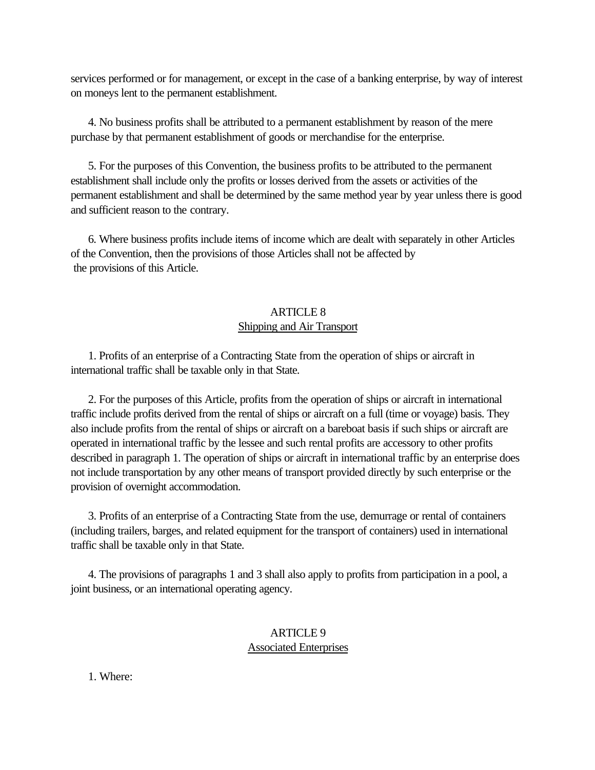<span id="page-10-0"></span>services performed or for management, or except in the case of a banking enterprise, by way of interest on moneys lent to the permanent establishment.

 4. No business profits shall be attributed to a permanent establishment by reason of the mere purchase by that permanent establishment of goods or merchandise for the enterprise.

 5. For the purposes of this Convention, the business profits to be attributed to the permanent establishment shall include only the profits or losses derived from the assets or activities of the permanent establishment and shall be determined by the same method year by year unless there is good and sufficient reason to the contrary.

 6. Where business profits include items of income which are dealt with separately in other Articles of the Convention, then the provisions of those Articles shall not be affected by the provisions of this Article.

### ARTICLE 8 Shipping and Air Transport

 1. Profits of an enterprise of a Contracting State from the operation of ships or aircraft in international traffic shall be taxable only in that State.

 2. For the purposes of this Article, profits from the operation of ships or aircraft in international traffic include profits derived from the rental of ships or aircraft on a full (time or voyage) basis. They also include profits from the rental of ships or aircraft on a bareboat basis if such ships or aircraft are operated in international traffic by the lessee and such rental profits are accessory to other profits described in paragraph 1. The operation of ships or aircraft in international traffic by an enterprise does not include transportation by any other means of transport provided directly by such enterprise or the provision of overnight accommodation.

 3. Profits of an enterprise of a Contracting State from the use, demurrage or rental of containers (including trailers, barges, and related equipment for the transport of containers) used in international traffic shall be taxable only in that State.

 4. The provisions of paragraphs 1 and 3 shall also apply to profits from participation in a pool, a joint business, or an international operating agency.

# ARTICLE 9 Associated Enterprises

1. Where: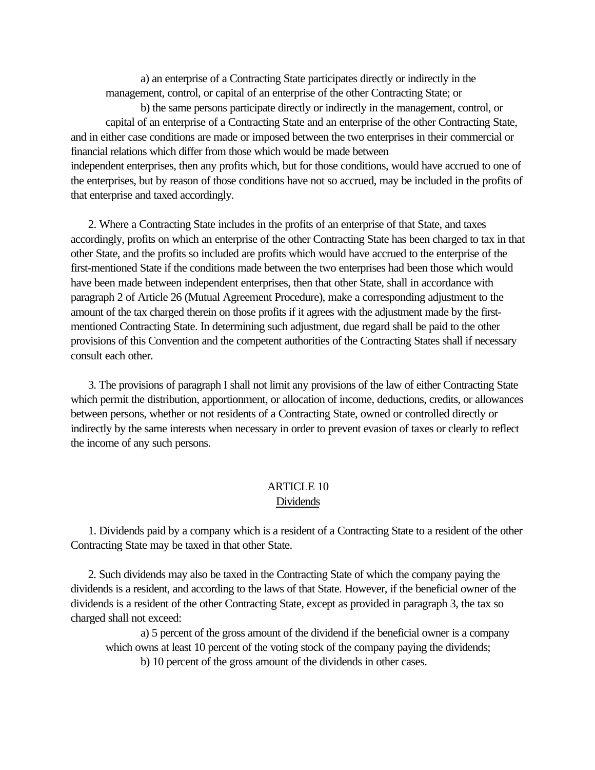a) an enterprise of a Contracting State participates directly or indirectly in the management, control, or capital of an enterprise of the other Contracting State; or

<span id="page-11-0"></span>b) the same persons participate directly or indirectly in the management, control, or capital of an enterprise of a Contracting State and an enterprise of the other Contracting State, and in either case conditions are made or imposed between the two enterprises in their commercial or financial relations which differ from those which would be made between independent enterprises, then any profits which, but for those conditions, would have accrued to one of the enterprises, but by reason of those conditions have not so accrued, may be included in the profits of that enterprise and taxed accordingly.

 2. Where a Contracting State includes in the profits of an enterprise of that State, and taxes accordingly, profits on which an enterprise of the other Contracting State has been charged to tax in that other State, and the profits so included are profits which would have accrued to the enterprise of the first-mentioned State if the conditions made between the two enterprises had been those which would have been made between independent enterprises, then that other State, shall in accordance with paragraph 2 of Article 26 (Mutual Agreement Procedure), make a corresponding adjustment to the amount of the tax charged therein on those profits if it agrees with the adjustment made by the firstmentioned Contracting State. In determining such adjustment, due regard shall be paid to the other provisions of this Convention and the competent authorities of the Contracting States shall if necessary consult each other.

 3. The provisions of paragraph I shall not limit any provisions of the law of either Contracting State which permit the distribution, apportionment, or allocation of income, deductions, credits, or allowances between persons, whether or not residents of a Contracting State, owned or controlled directly or indirectly by the same interests when necessary in order to prevent evasion of taxes or clearly to reflect the income of any such persons.

### ARTICLE 10 Dividends

 1. Dividends paid by a company which is a resident of a Contracting State to a resident of the other Contracting State may be taxed in that other State.

 2. Such dividends may also be taxed in the Contracting State of which the company paying the dividends is a resident, and according to the laws of that State. However, if the beneficial owner of the dividends is a resident of the other Contracting State, except as provided in paragraph 3, the tax so charged shall not exceed:

a) 5 percent of the gross amount of the dividend if the beneficial owner is a company which owns at least 10 percent of the voting stock of the company paying the dividends;

b) 10 percent of the gross amount of the dividends in other cases.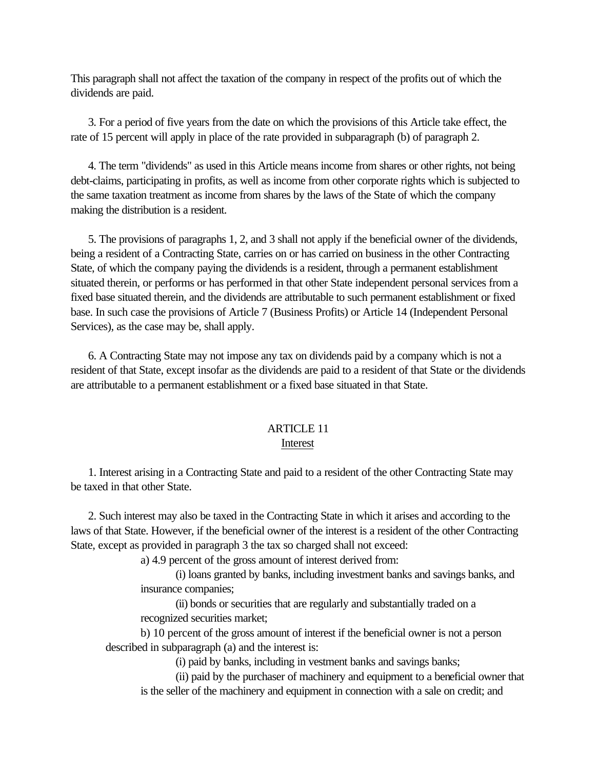<span id="page-12-0"></span>This paragraph shall not affect the taxation of the company in respect of the profits out of which the dividends are paid.

 3. For a period of five years from the date on which the provisions of this Article take effect, the rate of 15 percent will apply in place of the rate provided in subparagraph (b) of paragraph 2.

 4. The term "dividends" as used in this Article means income from shares or other rights, not being debt-claims, participating in profits, as well as income from other corporate rights which is subjected to the same taxation treatment as income from shares by the laws of the State of which the company making the distribution is a resident.

 5. The provisions of paragraphs 1, 2, and 3 shall not apply if the beneficial owner of the dividends, being a resident of a Contracting State, carries on or has carried on business in the other Contracting State, of which the company paying the dividends is a resident, through a permanent establishment situated therein, or performs or has performed in that other State independent personal services from a fixed base situated therein, and the dividends are attributable to such permanent establishment or fixed base. In such case the provisions of Article 7 (Business Profits) or Article 14 (Independent Personal Services), as the case may be, shall apply.

 6. A Contracting State may not impose any tax on dividends paid by a company which is not a resident of that State, except insofar as the dividends are paid to a resident of that State or the dividends are attributable to a permanent establishment or a fixed base situated in that State.

### ARTICLE 11

### Interest

 1. Interest arising in a Contracting State and paid to a resident of the other Contracting State may be taxed in that other State.

 2. Such interest may also be taxed in the Contracting State in which it arises and according to the laws of that State. However, if the beneficial owner of the interest is a resident of the other Contracting State, except as provided in paragraph 3 the tax so charged shall not exceed:

a) 4.9 percent of the gross amount of interest derived from:

(i) loans granted by banks, including investment banks and savings banks, and insurance companies;

(ii) bonds or securities that are regularly and substantially traded on a recognized securities market;

b) 10 percent of the gross amount of interest if the beneficial owner is not a person described in subparagraph (a) and the interest is:

(i) paid by banks, including in vestment banks and savings banks;

(ii) paid by the purchaser of machinery and equipment to a beneficial owner that is the seller of the machinery and equipment in connection with a sale on credit; and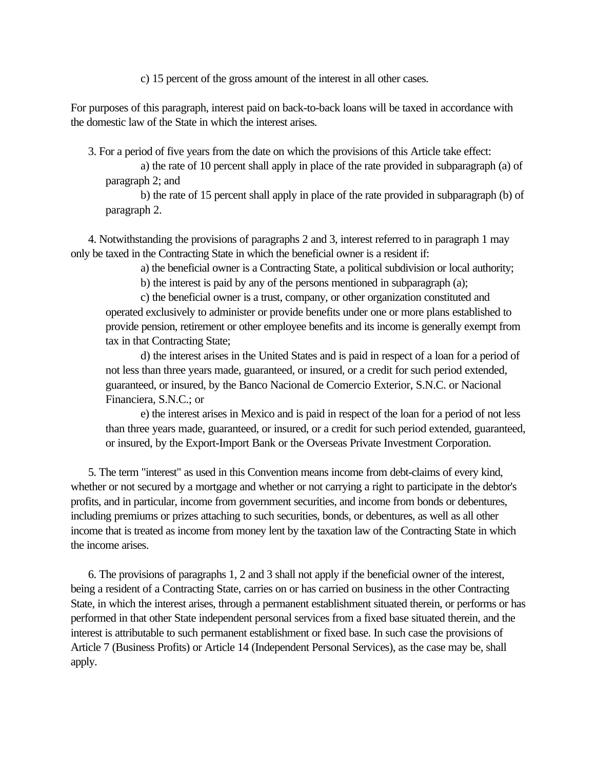c) 15 percent of the gross amount of the interest in all other cases.

For purposes of this paragraph, interest paid on back-to-back loans will be taxed in accordance with the domestic law of the State in which the interest arises.

3. For a period of five years from the date on which the provisions of this Article take effect:

a) the rate of 10 percent shall apply in place of the rate provided in subparagraph (a) of paragraph 2; and

b) the rate of 15 percent shall apply in place of the rate provided in subparagraph (b) of paragraph 2.

 4. Notwithstanding the provisions of paragraphs 2 and 3, interest referred to in paragraph 1 may only be taxed in the Contracting State in which the beneficial owner is a resident if:

a) the beneficial owner is a Contracting State, a political subdivision or local authority;

b) the interest is paid by any of the persons mentioned in subparagraph (a);

c) the beneficial owner is a trust, company, or other organization constituted and operated exclusively to administer or provide benefits under one or more plans established to provide pension, retirement or other employee benefits and its income is generally exempt from tax in that Contracting State;

d) the interest arises in the United States and is paid in respect of a loan for a period of not less than three years made, guaranteed, or insured, or a credit for such period extended, guaranteed, or insured, by the Banco Nacional de Comercio Exterior, S.N.C. or Nacional Financiera, S.N.C.; or

e) the interest arises in Mexico and is paid in respect of the loan for a period of not less than three years made, guaranteed, or insured, or a credit for such period extended, guaranteed, or insured, by the Export-Import Bank or the Overseas Private Investment Corporation.

 5. The term "interest" as used in this Convention means income from debt-claims of every kind, whether or not secured by a mortgage and whether or not carrying a right to participate in the debtor's profits, and in particular, income from government securities, and income from bonds or debentures, including premiums or prizes attaching to such securities, bonds, or debentures, as well as all other income that is treated as income from money lent by the taxation law of the Contracting State in which the income arises.

 6. The provisions of paragraphs 1, 2 and 3 shall not apply if the beneficial owner of the interest, being a resident of a Contracting State, carries on or has carried on business in the other Contracting State, in which the interest arises, through a permanent establishment situated therein, or performs or has performed in that other State independent personal services from a fixed base situated therein, and the interest is attributable to such permanent establishment or fixed base. In such case the provisions of Article 7 (Business Profits) or Article 14 (Independent Personal Services), as the case may be, shall apply.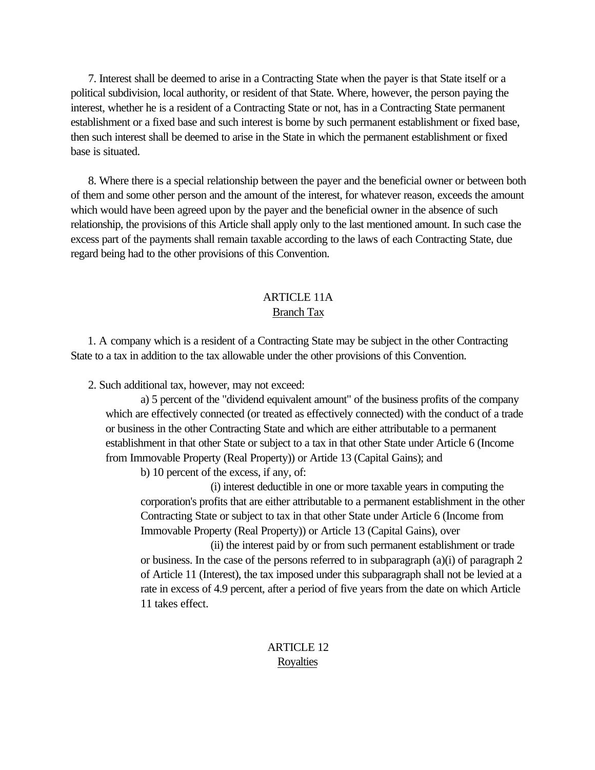<span id="page-14-0"></span> 7. Interest shall be deemed to arise in a Contracting State when the payer is that State itself or a political subdivision, local authority, or resident of that State. Where, however, the person paying the interest, whether he is a resident of a Contracting State or not, has in a Contracting State permanent establishment or a fixed base and such interest is borne by such permanent establishment or fixed base, then such interest shall be deemed to arise in the State in which the permanent establishment or fixed base is situated.

 8. Where there is a special relationship between the payer and the beneficial owner or between both of them and some other person and the amount of the interest, for whatever reason, exceeds the amount which would have been agreed upon by the payer and the beneficial owner in the absence of such relationship, the provisions of this Article shall apply only to the last mentioned amount. In such case the excess part of the payments shall remain taxable according to the laws of each Contracting State, due regard being had to the other provisions of this Convention.

# ARTICLE 11A Branch Tax

 1. A company which is a resident of a Contracting State may be subject in the other Contracting State to a tax in addition to the tax allowable under the other provisions of this Convention.

2. Such additional tax, however, may not exceed:

a) 5 percent of the "dividend equivalent amount" of the business profits of the company which are effectively connected (or treated as effectively connected) with the conduct of a trade or business in the other Contracting State and which are either attributable to a permanent establishment in that other State or subject to a tax in that other State under Article 6 (Income from Immovable Property (Real Property)) or Artide 13 (Capital Gains); and

b) 10 percent of the excess, if any, of:

(i) interest deductible in one or more taxable years in computing the corporation's profits that are either attributable to a permanent establishment in the other Contracting State or subject to tax in that other State under Article 6 (Income from Immovable Property (Real Property)) or Article 13 (Capital Gains), over

(ii) the interest paid by or from such permanent establishment or trade or business. In the case of the persons referred to in subparagraph (a)(i) of paragraph 2 of Article 11 (Interest), the tax imposed under this subparagraph shall not be levied at a rate in excess of 4.9 percent, after a period of five years from the date on which Article 11 takes effect.

# ARTICLE 12 **Royalties**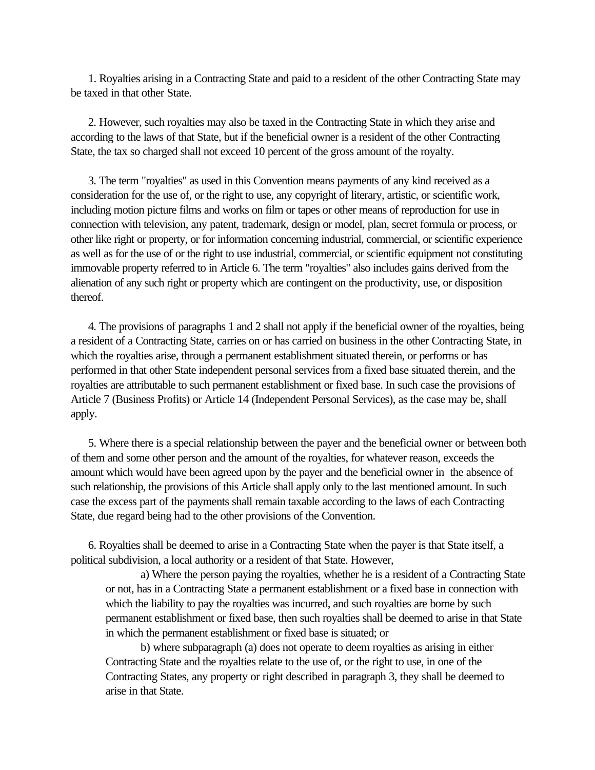1. Royalties arising in a Contracting State and paid to a resident of the other Contracting State may be taxed in that other State.

 2. However, such royalties may also be taxed in the Contracting State in which they arise and according to the laws of that State, but if the beneficial owner is a resident of the other Contracting State, the tax so charged shall not exceed 10 percent of the gross amount of the royalty.

 3. The term "royalties" as used in this Convention means payments of any kind received as a consideration for the use of, or the right to use, any copyright of literary, artistic, or scientific work, including motion picture films and works on film or tapes or other means of reproduction for use in connection with television, any patent, trademark, design or model, plan, secret formula or process, or other like right or property, or for information concerning industrial, commercial, or scientific experience as well as for the use of or the right to use industrial, commercial, or scientific equipment not constituting immovable property referred to in Article 6. The term "royalties" also includes gains derived from the alienation of any such right or property which are contingent on the productivity, use, or disposition thereof.

 4. The provisions of paragraphs 1 and 2 shall not apply if the beneficial owner of the royalties, being a resident of a Contracting State, carries on or has carried on business in the other Contracting State, in which the royalties arise, through a permanent establishment situated therein, or performs or has performed in that other State independent personal services from a fixed base situated therein, and the royalties are attributable to such permanent establishment or fixed base. In such case the provisions of Article 7 (Business Profits) or Article 14 (Independent Personal Services), as the case may be, shall apply.

 5. Where there is a special relationship between the payer and the beneficial owner or between both of them and some other person and the amount of the royalties, for whatever reason, exceeds the amount which would have been agreed upon by the payer and the beneficial owner in the absence of such relationship, the provisions of this Article shall apply only to the last mentioned amount. In such case the excess part of the payments shall remain taxable according to the laws of each Contracting State, due regard being had to the other provisions of the Convention.

 6. Royalties shall be deemed to arise in a Contracting State when the payer is that State itself, a political subdivision, a local authority or a resident of that State. However,

a) Where the person paying the royalties, whether he is a resident of a Contracting State or not, has in a Contracting State a permanent establishment or a fixed base in connection with which the liability to pay the royalties was incurred, and such royalties are borne by such permanent establishment or fixed base, then such royalties shall be deemed to arise in that State in which the permanent establishment or fixed base is situated; or

b) where subparagraph (a) does not operate to deem royalties as arising in either Contracting State and the royalties relate to the use of, or the right to use, in one of the Contracting States, any property or right described in paragraph 3, they shall be deemed to arise in that State.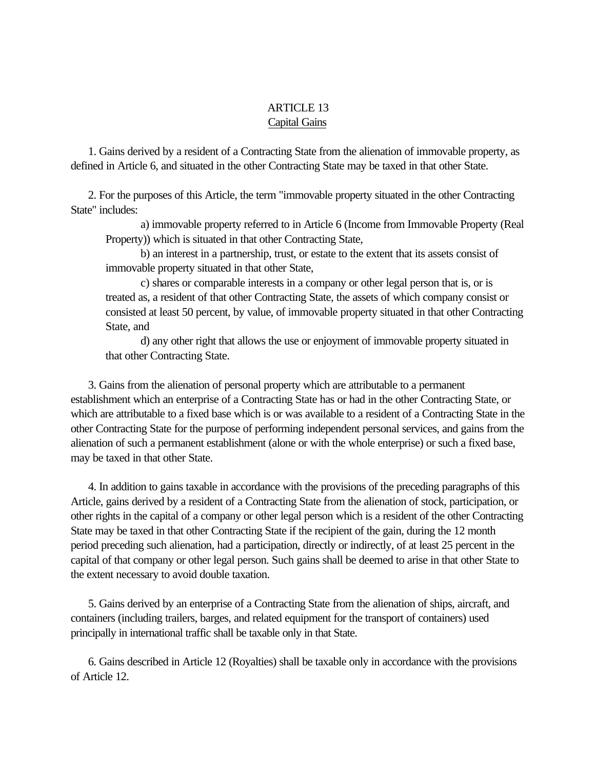# ARTICLE 13 Capital Gains

<span id="page-16-0"></span> 1. Gains derived by a resident of a Contracting State from the alienation of immovable property, as defined in Article 6, and situated in the other Contracting State may be taxed in that other State.

 2. For the purposes of this Article, the term "immovable property situated in the other Contracting State" includes:

a) immovable property referred to in Article 6 (Income from Immovable Property (Real Property)) which is situated in that other Contracting State,

b) an interest in a partnership, trust, or estate to the extent that its assets consist of immovable property situated in that other State,

c) shares or comparable interests in a company or other legal person that is, or is treated as, a resident of that other Contracting State, the assets of which company consist or consisted at least 50 percent, by value, of immovable property situated in that other Contracting State, and

d) any other right that allows the use or enjoyment of immovable property situated in that other Contracting State.

 3. Gains from the alienation of personal property which are attributable to a permanent establishment which an enterprise of a Contracting State has or had in the other Contracting State, or which are attributable to a fixed base which is or was available to a resident of a Contracting State in the other Contracting State for the purpose of performing independent personal services, and gains from the alienation of such a permanent establishment (alone or with the whole enterprise) or such a fixed base, may be taxed in that other State.

 4. In addition to gains taxable in accordance with the provisions of the preceding paragraphs of this Article, gains derived by a resident of a Contracting State from the alienation of stock, participation, or other rights in the capital of a company or other legal person which is a resident of the other Contracting State may be taxed in that other Contracting State if the recipient of the gain, during the 12 month period preceding such alienation, had a participation, directly or indirectly, of at least 25 percent in the capital of that company or other legal person. Such gains shall be deemed to arise in that other State to the extent necessary to avoid double taxation.

 5. Gains derived by an enterprise of a Contracting State from the alienation of ships, aircraft, and containers (including trailers, barges, and related equipment for the transport of containers) used principally in international traffic shall be taxable only in that State.

 6. Gains described in Article 12 (Royalties) shall be taxable only in accordance with the provisions of Article 12.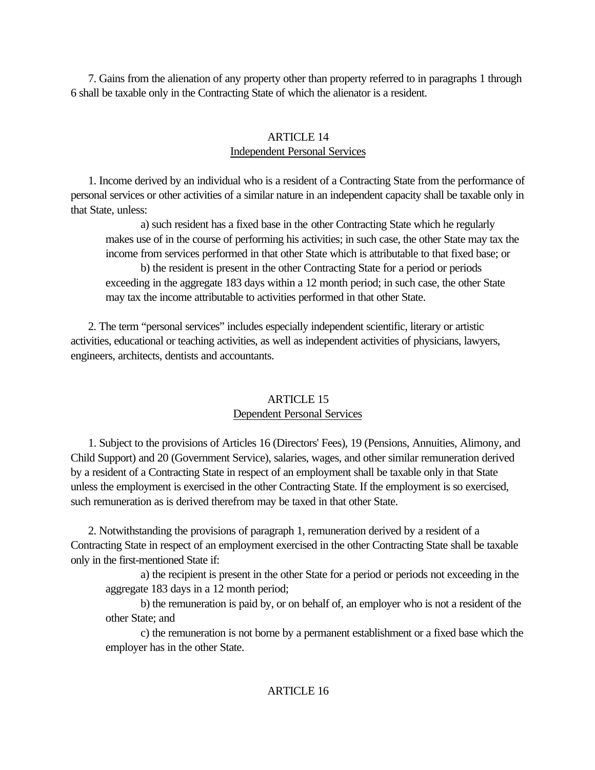<span id="page-17-0"></span> 7. Gains from the alienation of any property other than property referred to in paragraphs 1 through 6 shall be taxable only in the Contracting State of which the alienator is a resident.

# ARTICLE 14 Independent Personal Services

 1. Income derived by an individual who is a resident of a Contracting State from the performance of personal services or other activities of a similar nature in an independent capacity shall be taxable only in that State, unless:

a) such resident has a fixed base in the other Contracting State which he regularly makes use of in the course of performing his activities; in such case, the other State may tax the income from services performed in that other State which is attributable to that fixed base; or b) the resident is present in the other Contracting State for a period or periods exceeding in the aggregate 183 days within a 12 month period; in such case, the other State

may tax the income attributable to activities performed in that other State.

 2. The term "personal services" includes especially independent scientific, literary or artistic activities, educational or teaching activities, as well as independent activities of physicians, lawyers, engineers, architects, dentists and accountants.

# ARTICLE 15 Dependent Personal Services

 1. Subject to the provisions of Articles 16 (Directors' Fees), 19 (Pensions, Annuities, Alimony, and Child Support) and 20 (Government Service), salaries, wages, and other similar remuneration derived by a resident of a Contracting State in respect of an employment shall be taxable only in that State unless the employment is exercised in the other Contracting State. If the employment is so exercised, such remuneration as is derived therefrom may be taxed in that other State.

 2. Notwithstanding the provisions of paragraph 1, remuneration derived by a resident of a Contracting State in respect of an employment exercised in the other Contracting State shall be taxable only in the first-mentioned State if:

a) the recipient is present in the other State for a period or periods not exceeding in the aggregate 183 days in a 12 month period;

b) the remuneration is paid by, or on behalf of, an employer who is not a resident of the other State; and

c) the remuneration is not borne by a permanent establishment or a fixed base which the employer has in the other State.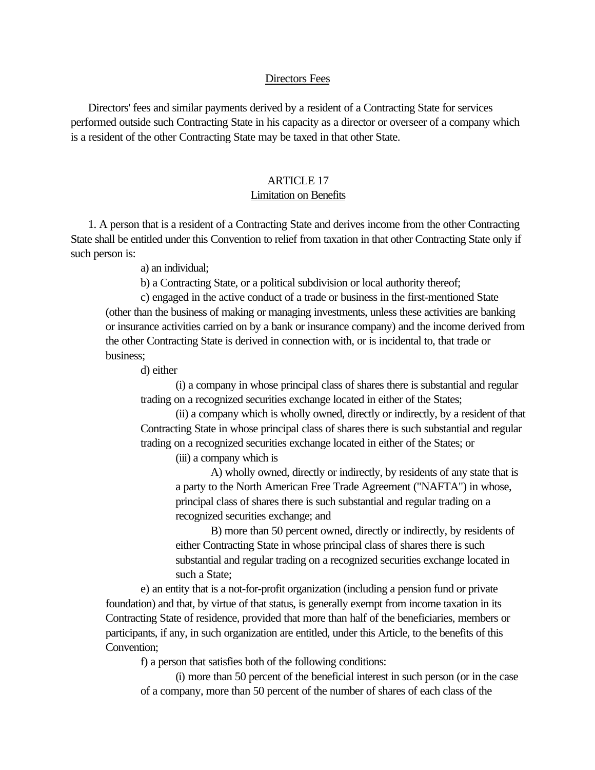#### Directors Fees

<span id="page-18-0"></span> Directors' fees and similar payments derived by a resident of a Contracting State for services performed outside such Contracting State in his capacity as a director or overseer of a company which is a resident of the other Contracting State may be taxed in that other State.

### ARTICLE 17

### Limitation on Benefits

 1. A person that is a resident of a Contracting State and derives income from the other Contracting State shall be entitled under this Convention to relief from taxation in that other Contracting State only if such person is:

a) an individual;

b) a Contracting State, or a political subdivision or local authority thereof;

c) engaged in the active conduct of a trade or business in the first-mentioned State (other than the business of making or managing investments, unless these activities are banking or insurance activities carried on by a bank or insurance company) and the income derived from the other Contracting State is derived in connection with, or is incidental to, that trade or business;

d) either

(i) a company in whose principal class of shares there is substantial and regular trading on a recognized securities exchange located in either of the States;

(ii) a company which is wholly owned, directly or indirectly, by a resident of that Contracting State in whose principal class of shares there is such substantial and regular trading on a recognized securities exchange located in either of the States; or

(iii) a company which is

A) wholly owned, directly or indirectly, by residents of any state that is a party to the North American Free Trade Agreement ("NAFTA") in whose, principal class of shares there is such substantial and regular trading on a recognized securities exchange; and

B) more than 50 percent owned, directly or indirectly, by residents of either Contracting State in whose principal class of shares there is such substantial and regular trading on a recognized securities exchange located in such a State;

e) an entity that is a not-for-profit organization (including a pension fund or private foundation) and that, by virtue of that status, is generally exempt from income taxation in its Contracting State of residence, provided that more than half of the beneficiaries, members or participants, if any, in such organization are entitled, under this Article, to the benefits of this Convention;

f) a person that satisfies both of the following conditions:

(i) more than 50 percent of the beneficial interest in such person (or in the case of a company, more than 50 percent of the number of shares of each class of the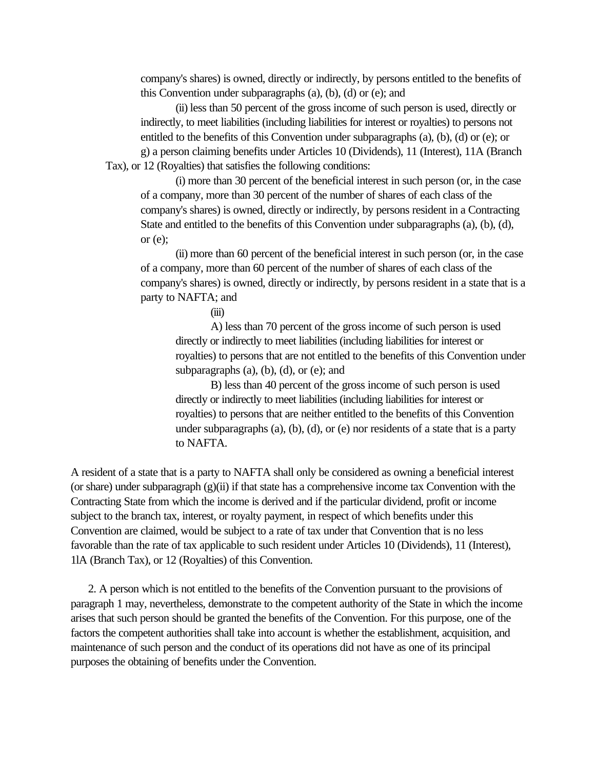company's shares) is owned, directly or indirectly, by persons entitled to the benefits of this Convention under subparagraphs (a), (b), (d) or (e); and

(ii) less than 50 percent of the gross income of such person is used, directly or indirectly, to meet liabilities (including liabilities for interest or royalties) to persons not entitled to the benefits of this Convention under subparagraphs (a), (b), (d) or (e); or g) a person claiming benefits under Articles 10 (Dividends), 11 (Interest), 11A (Branch Tax), or 12 (Royalties) that satisfies the following conditions:

(i) more than 30 percent of the beneficial interest in such person (or, in the case of a company, more than 30 percent of the number of shares of each class of the company's shares) is owned, directly or indirectly, by persons resident in a Contracting State and entitled to the benefits of this Convention under subparagraphs (a), (b), (d), or  $(e)$ ;

(ii) more than 60 percent of the beneficial interest in such person (or, in the case of a company, more than 60 percent of the number of shares of each class of the company's shares) is owned, directly or indirectly, by persons resident in a state that is a party to NAFTA; and

(iii)

A) less than 70 percent of the gross income of such person is used directly or indirectly to meet liabilities (including liabilities for interest or royalties) to persons that are not entitled to the benefits of this Convention under subparagraphs  $(a)$ ,  $(b)$ ,  $(d)$ ,  $or$   $(e)$ ; and

B) less than 40 percent of the gross income of such person is used directly or indirectly to meet liabilities (including liabilities for interest or royalties) to persons that are neither entitled to the benefits of this Convention under subparagraphs (a), (b), (d), or (e) nor residents of a state that is a party to NAFTA.

A resident of a state that is a party to NAFTA shall only be considered as owning a beneficial interest (or share) under subparagraph  $(g)(ii)$  if that state has a comprehensive income tax Convention with the Contracting State from which the income is derived and if the particular dividend, profit or income subject to the branch tax, interest, or royalty payment, in respect of which benefits under this Convention are claimed, would be subject to a rate of tax under that Convention that is no less favorable than the rate of tax applicable to such resident under Articles 10 (Dividends), 11 (Interest), 1lA (Branch Tax), or 12 (Royalties) of this Convention.

 2. A person which is not entitled to the benefits of the Convention pursuant to the provisions of paragraph 1 may, nevertheless, demonstrate to the competent authority of the State in which the income arises that such person should be granted the benefits of the Convention. For this purpose, one of the factors the competent authorities shall take into account is whether the establishment, acquisition, and maintenance of such person and the conduct of its operations did not have as one of its principal purposes the obtaining of benefits under the Convention.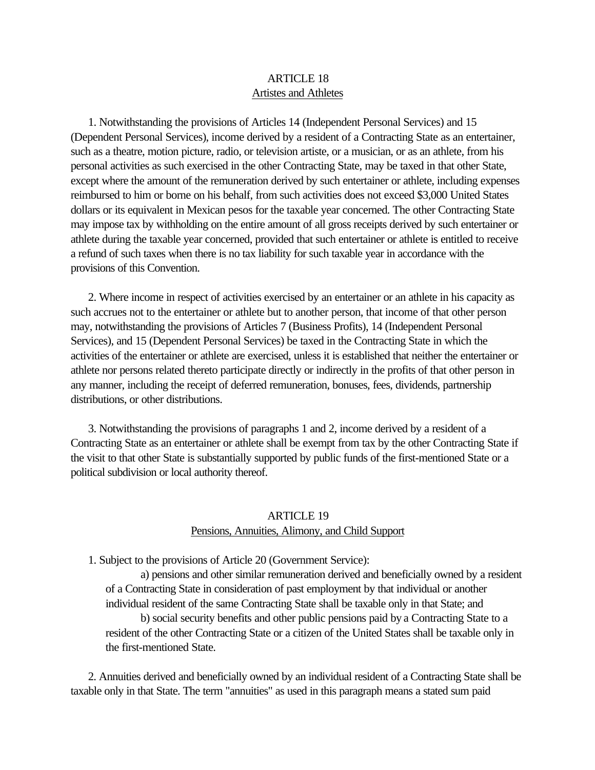# ARTICLE 18 Artistes and Athletes

<span id="page-20-0"></span> 1. Notwithstanding the provisions of Articles 14 (Independent Personal Services) and 15 (Dependent Personal Services), income derived by a resident of a Contracting State as an entertainer, such as a theatre, motion picture, radio, or television artiste, or a musician, or as an athlete, from his personal activities as such exercised in the other Contracting State, may be taxed in that other State, except where the amount of the remuneration derived by such entertainer or athlete, including expenses reimbursed to him or borne on his behalf, from such activities does not exceed \$3,000 United States dollars or its equivalent in Mexican pesos for the taxable year concerned. The other Contracting State may impose tax by withholding on the entire amount of all gross receipts derived by such entertainer or athlete during the taxable year concerned, provided that such entertainer or athlete is entitled to receive a refund of such taxes when there is no tax liability for such taxable year in accordance with the provisions of this Convention.

 2. Where income in respect of activities exercised by an entertainer or an athlete in his capacity as such accrues not to the entertainer or athlete but to another person, that income of that other person may, notwithstanding the provisions of Articles 7 (Business Profits), 14 (Independent Personal Services), and 15 (Dependent Personal Services) be taxed in the Contracting State in which the activities of the entertainer or athlete are exercised, unless it is established that neither the entertainer or athlete nor persons related thereto participate directly or indirectly in the profits of that other person in any manner, including the receipt of deferred remuneration, bonuses, fees, dividends, partnership distributions, or other distributions.

 3. Notwithstanding the provisions of paragraphs 1 and 2, income derived by a resident of a Contracting State as an entertainer or athlete shall be exempt from tax by the other Contracting State if the visit to that other State is substantially supported by public funds of the first-mentioned State or a political subdivision or local authority thereof.

#### ARTICLE 19

#### Pensions, Annuities, Alimony, and Child Support

1. Subject to the provisions of Article 20 (Government Service):

a) pensions and other similar remuneration derived and beneficially owned by a resident of a Contracting State in consideration of past employment by that individual or another individual resident of the same Contracting State shall be taxable only in that State; and b) social security benefits and other public pensions paid by a Contracting State to a resident of the other Contracting State or a citizen of the United States shall be taxable only in the first-mentioned State.

 2. Annuities derived and beneficially owned by an individual resident of a Contracting State shall be taxable only in that State. The term "annuities" as used in this paragraph means a stated sum paid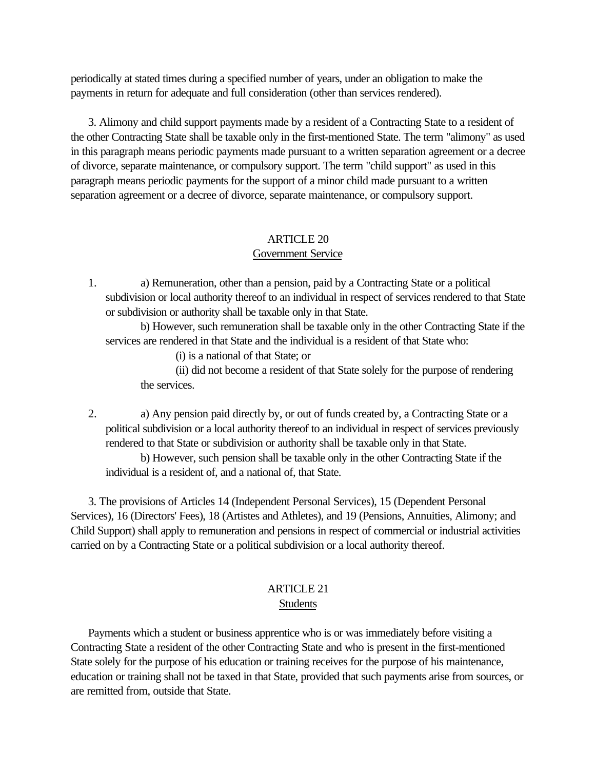<span id="page-21-0"></span>periodically at stated times during a specified number of years, under an obligation to make the payments in return for adequate and full consideration (other than services rendered).

 3. Alimony and child support payments made by a resident of a Contracting State to a resident of the other Contracting State shall be taxable only in the first-mentioned State. The term "alimony" as used in this paragraph means periodic payments made pursuant to a written separation agreement or a decree of divorce, separate maintenance, or compulsory support. The term "child support" as used in this paragraph means periodic payments for the support of a minor child made pursuant to a written separation agreement or a decree of divorce, separate maintenance, or compulsory support.

# ARTICLE 20 Government Service

 1. a) Remuneration, other than a pension, paid by a Contracting State or a political subdivision or local authority thereof to an individual in respect of services rendered to that State or subdivision or authority shall be taxable only in that State.

b) However, such remuneration shall be taxable only in the other Contracting State if the services are rendered in that State and the individual is a resident of that State who:

(i) is a national of that State; or

(ii) did not become a resident of that State solely for the purpose of rendering the services.

 2. a) Any pension paid directly by, or out of funds created by, a Contracting State or a political subdivision or a local authority thereof to an individual in respect of services previously rendered to that State or subdivision or authority shall be taxable only in that State.

b) However, such pension shall be taxable only in the other Contracting State if the individual is a resident of, and a national of, that State.

 3. The provisions of Articles 14 (Independent Personal Services), 15 (Dependent Personal Services), 16 (Directors' Fees), 18 (Artistes and Athletes), and 19 (Pensions, Annuities, Alimony; and Child Support) shall apply to remuneration and pensions in respect of commercial or industrial activities carried on by a Contracting State or a political subdivision or a local authority thereof.

### ARTICLE 21 **Students**

 Payments which a student or business apprentice who is or was immediately before visiting a Contracting State a resident of the other Contracting State and who is present in the first-mentioned State solely for the purpose of his education or training receives for the purpose of his maintenance, education or training shall not be taxed in that State, provided that such payments arise from sources, or are remitted from, outside that State.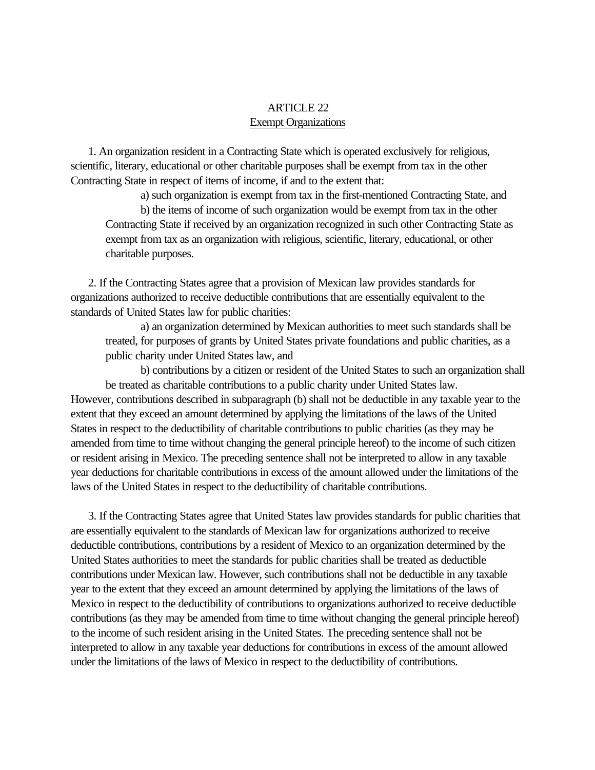# ARTICLE 22 Exempt Organizations

<span id="page-22-0"></span> 1. An organization resident in a Contracting State which is operated exclusively for religious, scientific, literary, educational or other charitable purposes shall be exempt from tax in the other Contracting State in respect of items of income, if and to the extent that:

a) such organization is exempt from tax in the first-mentioned Contracting State, and b) the items of income of such organization would be exempt from tax in the other Contracting State if received by an organization recognized in such other Contracting State as exempt from tax as an organization with religious, scientific, literary, educational, or other charitable purposes.

 2. If the Contracting States agree that a provision of Mexican law provides standards for organizations authorized to receive deductible contributions that are essentially equivalent to the standards of United States law for public charities:

a) an organization determined by Mexican authorities to meet such standards shall be treated, for purposes of grants by United States private foundations and public charities, as a public charity under United States law, and

b) contributions by a citizen or resident of the United States to such an organization shall be treated as charitable contributions to a public charity under United States law. However, contributions described in subparagraph (b) shall not be deductible in any taxable year to the extent that they exceed an amount determined by applying the limitations of the laws of the United States in respect to the deductibility of charitable contributions to public charities (as they may be amended from time to time without changing the general principle hereof) to the income of such citizen or resident arising in Mexico. The preceding sentence shall not be interpreted to allow in any taxable year deductions for charitable contributions in excess of the amount allowed under the limitations of the laws of the United States in respect to the deductibility of charitable contributions.

 3. If the Contracting States agree that United States law provides standards for public charities that are essentially equivalent to the standards of Mexican law for organizations authorized to receive deductible contributions, contributions by a resident of Mexico to an organization determined by the United States authorities to meet the standards for public charities shall be treated as deductible contributions under Mexican law. However, such contributions shall not be deductible in any taxable year to the extent that they exceed an amount determined by applying the limitations of the laws of Mexico in respect to the deductibility of contributions to organizations authorized to receive deductible contributions (as they may be amended from time to time without changing the general principle hereof) to the income of such resident arising in the United States. The preceding sentence shall not be interpreted to allow in any taxable year deductions for contributions in excess of the amount allowed under the limitations of the laws of Mexico in respect to the deductibility of contributions.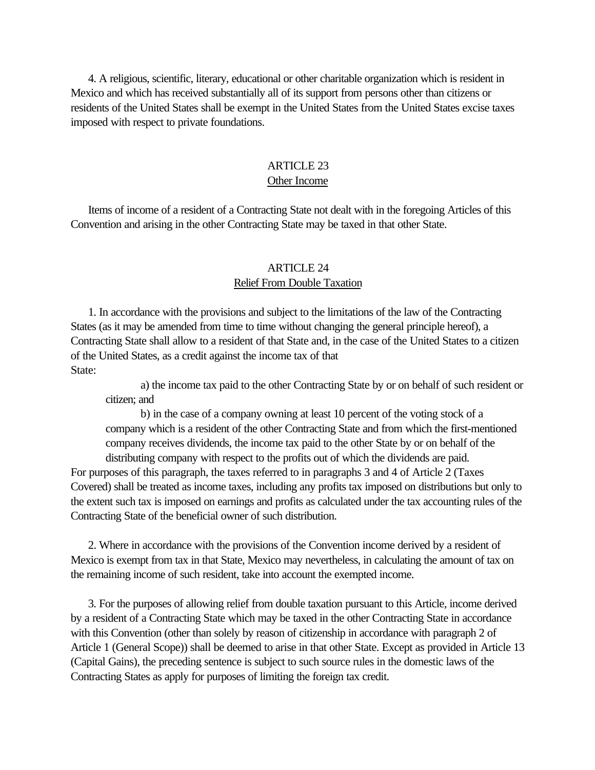<span id="page-23-0"></span> 4. A religious, scientific, literary, educational or other charitable organization which is resident in Mexico and which has received substantially all of its support from persons other than citizens or residents of the United States shall be exempt in the United States from the United States excise taxes imposed with respect to private foundations.

# ARTICLE 23

# Other Income

 Items of income of a resident of a Contracting State not dealt with in the foregoing Articles of this Convention and arising in the other Contracting State may be taxed in that other State.

# ARTICLE 24 Relief From Double Taxation

 1. In accordance with the provisions and subject to the limitations of the law of the Contracting States (as it may be amended from time to time without changing the general principle hereof), a Contracting State shall allow to a resident of that State and, in the case of the United States to a citizen of the United States, as a credit against the income tax of that State:

a) the income tax paid to the other Contracting State by or on behalf of such resident or citizen; and

b) in the case of a company owning at least 10 percent of the voting stock of a company which is a resident of the other Contracting State and from which the first-mentioned company receives dividends, the income tax paid to the other State by or on behalf of the distributing company with respect to the profits out of which the dividends are paid.

For purposes of this paragraph, the taxes referred to in paragraphs 3 and 4 of Article 2 (Taxes Covered) shall be treated as income taxes, including any profits tax imposed on distributions but only to the extent such tax is imposed on earnings and profits as calculated under the tax accounting rules of the Contracting State of the beneficial owner of such distribution.

 2. Where in accordance with the provisions of the Convention income derived by a resident of Mexico is exempt from tax in that State, Mexico may nevertheless, in calculating the amount of tax on the remaining income of such resident, take into account the exempted income.

 3. For the purposes of allowing relief from double taxation pursuant to this Article, income derived by a resident of a Contracting State which may be taxed in the other Contracting State in accordance with this Convention (other than solely by reason of citizenship in accordance with paragraph 2 of Article 1 (General Scope)) shall be deemed to arise in that other State. Except as provided in Article 13 (Capital Gains), the preceding sentence is subject to such source rules in the domestic laws of the Contracting States as apply for purposes of limiting the foreign tax credit.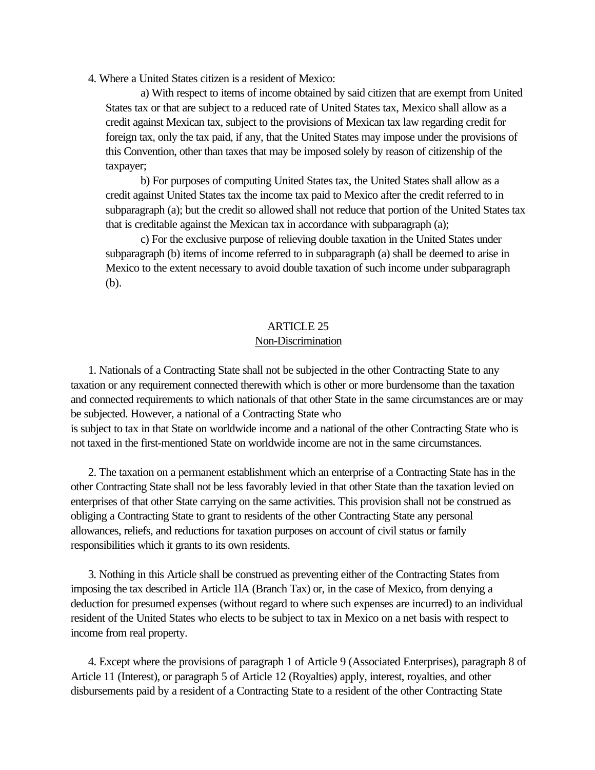<span id="page-24-0"></span>4. Where a United States citizen is a resident of Mexico:

a) With respect to items of income obtained by said citizen that are exempt from United States tax or that are subject to a reduced rate of United States tax, Mexico shall allow as a credit against Mexican tax, subject to the provisions of Mexican tax law regarding credit for foreign tax, only the tax paid, if any, that the United States may impose under the provisions of this Convention, other than taxes that may be imposed solely by reason of citizenship of the taxpayer;

b) For purposes of computing United States tax, the United States shall allow as a credit against United States tax the income tax paid to Mexico after the credit referred to in subparagraph (a); but the credit so allowed shall not reduce that portion of the United States tax that is creditable against the Mexican tax in accordance with subparagraph (a);

c) For the exclusive purpose of relieving double taxation in the United States under subparagraph (b) items of income referred to in subparagraph (a) shall be deemed to arise in Mexico to the extent necessary to avoid double taxation of such income under subparagraph (b).

# ARTICLE 25 Non-Discrimination

 1. Nationals of a Contracting State shall not be subjected in the other Contracting State to any taxation or any requirement connected therewith which is other or more burdensome than the taxation and connected requirements to which nationals of that other State in the same circumstances are or may be subjected. However, a national of a Contracting State who is subject to tax in that State on worldwide income and a national of the other Contracting State who is

not taxed in the first-mentioned State on worldwide income are not in the same circumstances.

 2. The taxation on a permanent establishment which an enterprise of a Contracting State has in the other Contracting State shall not be less favorably levied in that other State than the taxation levied on enterprises of that other State carrying on the same activities. This provision shall not be construed as obliging a Contracting State to grant to residents of the other Contracting State any personal allowances, reliefs, and reductions for taxation purposes on account of civil status or family responsibilities which it grants to its own residents.

 3. Nothing in this Article shall be construed as preventing either of the Contracting States from imposing the tax described in Article 1lA (Branch Tax) or, in the case of Mexico, from denying a deduction for presumed expenses (without regard to where such expenses are incurred) to an individual resident of the United States who elects to be subject to tax in Mexico on a net basis with respect to income from real property.

 4. Except where the provisions of paragraph 1 of Article 9 (Associated Enterprises), paragraph 8 of Article 11 (Interest), or paragraph 5 of Article 12 (Royalties) apply, interest, royalties, and other disbursements paid by a resident of a Contracting State to a resident of the other Contracting State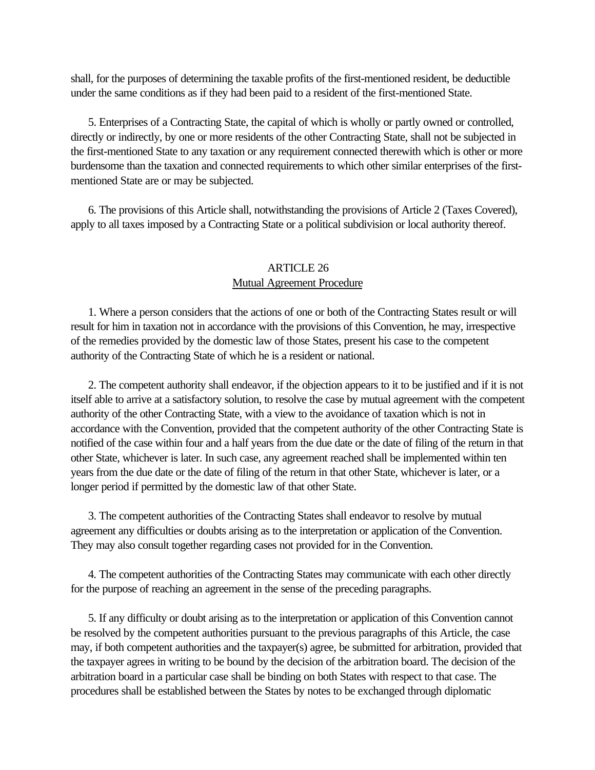<span id="page-25-0"></span>shall, for the purposes of determining the taxable profits of the first-mentioned resident, be deductible under the same conditions as if they had been paid to a resident of the first-mentioned State.

 5. Enterprises of a Contracting State, the capital of which is wholly or partly owned or controlled, directly or indirectly, by one or more residents of the other Contracting State, shall not be subjected in the first-mentioned State to any taxation or any requirement connected therewith which is other or more burdensome than the taxation and connected requirements to which other similar enterprises of the firstmentioned State are or may be subjected.

 6. The provisions of this Article shall, notwithstanding the provisions of Article 2 (Taxes Covered), apply to all taxes imposed by a Contracting State or a political subdivision or local authority thereof.

# ARTICLE 26 Mutual Agreement Procedure

 1. Where a person considers that the actions of one or both of the Contracting States result or will result for him in taxation not in accordance with the provisions of this Convention, he may, irrespective of the remedies provided by the domestic law of those States, present his case to the competent authority of the Contracting State of which he is a resident or national.

 2. The competent authority shall endeavor, if the objection appears to it to be justified and if it is not itself able to arrive at a satisfactory solution, to resolve the case by mutual agreement with the competent authority of the other Contracting State, with a view to the avoidance of taxation which is not in accordance with the Convention, provided that the competent authority of the other Contracting State is notified of the case within four and a half years from the due date or the date of filing of the return in that other State, whichever is later. In such case, any agreement reached shall be implemented within ten years from the due date or the date of filing of the return in that other State, whichever is later, or a longer period if permitted by the domestic law of that other State.

 3. The competent authorities of the Contracting States shall endeavor to resolve by mutual agreement any difficulties or doubts arising as to the interpretation or application of the Convention. They may also consult together regarding cases not provided for in the Convention.

 4. The competent authorities of the Contracting States may communicate with each other directly for the purpose of reaching an agreement in the sense of the preceding paragraphs.

 5. If any difficulty or doubt arising as to the interpretation or application of this Convention cannot be resolved by the competent authorities pursuant to the previous paragraphs of this Article, the case may, if both competent authorities and the taxpayer(s) agree, be submitted for arbitration, provided that the taxpayer agrees in writing to be bound by the decision of the arbitration board. The decision of the arbitration board in a particular case shall be binding on both States with respect to that case. The procedures shall be established between the States by notes to be exchanged through diplomatic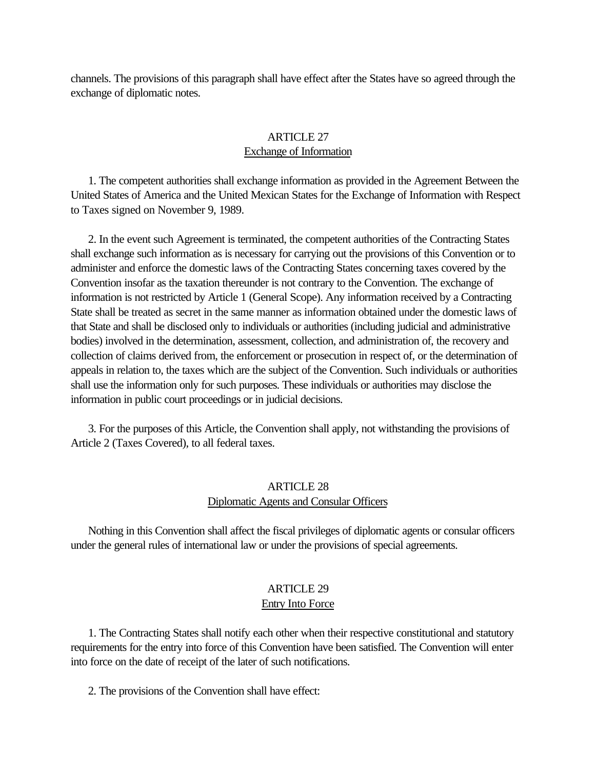<span id="page-26-0"></span>channels. The provisions of this paragraph shall have effect after the States have so agreed through the exchange of diplomatic notes.

# ARTICLE 27 Exchange of Information

 1. The competent authorities shall exchange information as provided in the Agreement Between the United States of America and the United Mexican States for the Exchange of Information with Respect to Taxes signed on November 9, 1989.

 2. In the event such Agreement is terminated, the competent authorities of the Contracting States shall exchange such information as is necessary for carrying out the provisions of this Convention or to administer and enforce the domestic laws of the Contracting States concerning taxes covered by the Convention insofar as the taxation thereunder is not contrary to the Convention. The exchange of information is not restricted by Article 1 (General Scope). Any information received by a Contracting State shall be treated as secret in the same manner as information obtained under the domestic laws of that State and shall be disclosed only to individuals or authorities (including judicial and administrative bodies) involved in the determination, assessment, collection, and administration of, the recovery and collection of claims derived from, the enforcement or prosecution in respect of, or the determination of appeals in relation to, the taxes which are the subject of the Convention. Such individuals or authorities shall use the information only for such purposes. These individuals or authorities may disclose the information in public court proceedings or in judicial decisions.

 3. For the purposes of this Article, the Convention shall apply, not withstanding the provisions of Article 2 (Taxes Covered), to all federal taxes.

### ARTICLE 28 Diplomatic Agents and Consular Officers

 Nothing in this Convention shall affect the fiscal privileges of diplomatic agents or consular officers under the general rules of international law or under the provisions of special agreements.

### ARTICLE 29 Entry Into Force

 1. The Contracting States shall notify each other when their respective constitutional and statutory requirements for the entry into force of this Convention have been satisfied. The Convention will enter into force on the date of receipt of the later of such notifications.

2. The provisions of the Convention shall have effect: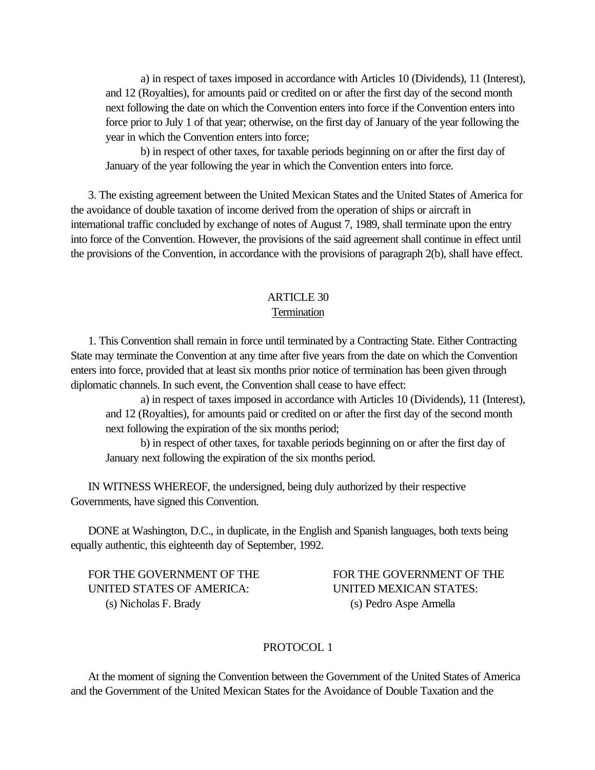<span id="page-27-0"></span>a) in respect of taxes imposed in accordance with Articles 10 (Dividends), 11 (Interest), and 12 (Royalties), for amounts paid or credited on or after the first day of the second month next following the date on which the Convention enters into force if the Convention enters into force prior to July 1 of that year; otherwise, on the first day of January of the year following the year in which the Convention enters into force;

b) in respect of other taxes, for taxable periods beginning on or after the first day of January of the year following the year in which the Convention enters into force.

 3. The existing agreement between the United Mexican States and the United States of America for the avoidance of double taxation of income derived from the operation of ships or aircraft in international traffic concluded by exchange of notes of August 7, 1989, shall terminate upon the entry into force of the Convention. However, the provisions of the said agreement shall continue in effect until the provisions of the Convention, in accordance with the provisions of paragraph 2(b), shall have effect.

# ARTICLE 30

### **Termination**

 1. This Convention shall remain in force until terminated by a Contracting State. Either Contracting State may terminate the Convention at any time after five years from the date on which the Convention enters into force, provided that at least six months prior notice of termination has been given through diplomatic channels. In such event, the Convention shall cease to have effect:

a) in respect of taxes imposed in accordance with Articles 10 (Dividends), 11 (Interest), and 12 (Royalties), for amounts paid or credited on or after the first day of the second month next following the expiration of the six months period;

b) in respect of other taxes, for taxable periods beginning on or after the first day of January next following the expiration of the six months period.

 IN WITNESS WHEREOF, the undersigned, being duly authorized by their respective Governments, have signed this Convention.

 DONE at Washington, D.C., in duplicate, in the English and Spanish languages, both texts being equally authentic, this eighteenth day of September, 1992.

 UNITED STATES OF AMERICA: UNITED MEXICAN STATES: (s) Nicholas F. Brady (s) Pedro Aspe Armella

FOR THE GOVERNMENT OF THE FOR THE GOVERNMENT OF THE

# PROTOCOL 1

 At the moment of signing the Convention between the Government of the United States of America and the Government of the United Mexican States for the Avoidance of Double Taxation and the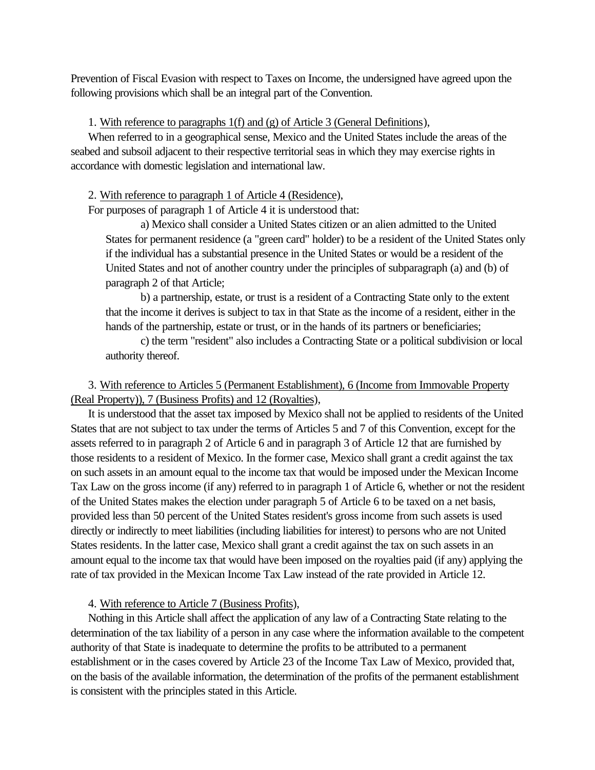Prevention of Fiscal Evasion with respect to Taxes on Income, the undersigned have agreed upon the following provisions which shall be an integral part of the Convention.

1. With reference to paragraphs 1(f) and (g) of Article 3 (General Definitions),

 When referred to in a geographical sense, Mexico and the United States include the areas of the seabed and subsoil adjacent to their respective territorial seas in which they may exercise rights in accordance with domestic legislation and international law.

#### 2. With reference to paragraph 1 of Article 4 (Residence),

For purposes of paragraph 1 of Article 4 it is understood that:

a) Mexico shall consider a United States citizen or an alien admitted to the United States for permanent residence (a "green card" holder) to be a resident of the United States only if the individual has a substantial presence in the United States or would be a resident of the United States and not of another country under the principles of subparagraph (a) and (b) of paragraph 2 of that Article;

b) a partnership, estate, or trust is a resident of a Contracting State only to the extent that the income it derives is subject to tax in that State as the income of a resident, either in the hands of the partnership, estate or trust, or in the hands of its partners or beneficiaries;

c) the term "resident" also includes a Contracting State or a political subdivision or local authority thereof.

# 3. With reference to Articles 5 (Permanent Establishment), 6 (Income from Immovable Property (Real Property)), 7 (Business Profits) and 12 (Royalties),

 It is understood that the asset tax imposed by Mexico shall not be applied to residents of the United States that are not subject to tax under the terms of Articles 5 and 7 of this Convention, except for the assets referred to in paragraph 2 of Article 6 and in paragraph 3 of Article 12 that are furnished by those residents to a resident of Mexico. In the former case, Mexico shall grant a credit against the tax on such assets in an amount equal to the income tax that would be imposed under the Mexican Income Tax Law on the gross income (if any) referred to in paragraph 1 of Article 6, whether or not the resident of the United States makes the election under paragraph 5 of Article 6 to be taxed on a net basis, provided less than 50 percent of the United States resident's gross income from such assets is used directly or indirectly to meet liabilities (including liabilities for interest) to persons who are not United States residents. In the latter case, Mexico shall grant a credit against the tax on such assets in an amount equal to the income tax that would have been imposed on the royalties paid (if any) applying the rate of tax provided in the Mexican Income Tax Law instead of the rate provided in Article 12.

#### 4. With reference to Article 7 (Business Profits),

 Nothing in this Article shall affect the application of any law of a Contracting State relating to the determination of the tax liability of a person in any case where the information available to the competent authority of that State is inadequate to determine the profits to be attributed to a permanent establishment or in the cases covered by Article 23 of the Income Tax Law of Mexico, provided that, on the basis of the available information, the determination of the profits of the permanent establishment is consistent with the principles stated in this Article.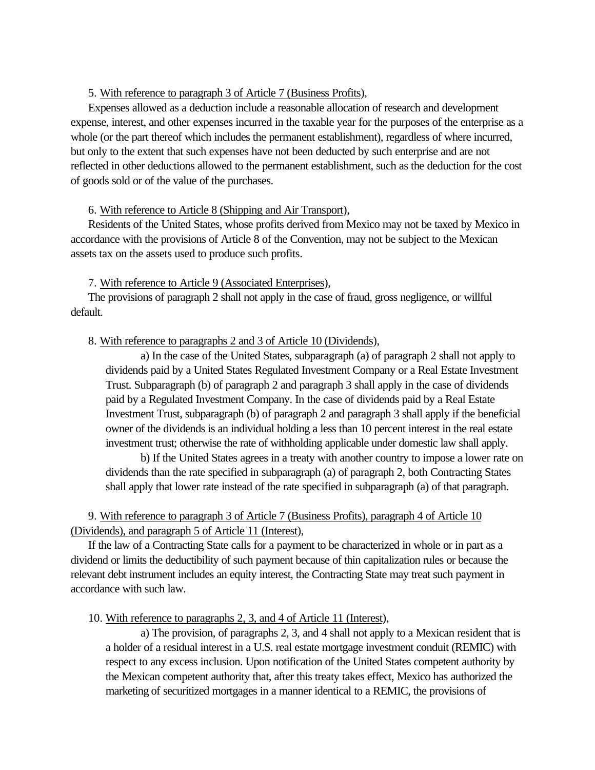### 5. With reference to paragraph 3 of Article 7 (Business Profits),

 Expenses allowed as a deduction include a reasonable allocation of research and development expense, interest, and other expenses incurred in the taxable year for the purposes of the enterprise as a whole (or the part thereof which includes the permanent establishment), regardless of where incurred, but only to the extent that such expenses have not been deducted by such enterprise and are not reflected in other deductions allowed to the permanent establishment, such as the deduction for the cost of goods sold or of the value of the purchases.

## 6. With reference to Article 8 (Shipping and Air Transport),

 Residents of the United States, whose profits derived from Mexico may not be taxed by Mexico in accordance with the provisions of Article 8 of the Convention, may not be subject to the Mexican assets tax on the assets used to produce such profits.

## 7. With reference to Article 9 (Associated Enterprises),

 The provisions of paragraph 2 shall not apply in the case of fraud, gross negligence, or willful default.

## 8. With reference to paragraphs 2 and 3 of Article 10 (Dividends),

a) In the case of the United States, subparagraph (a) of paragraph 2 shall not apply to dividends paid by a United States Regulated Investment Company or a Real Estate Investment Trust. Subparagraph (b) of paragraph 2 and paragraph 3 shall apply in the case of dividends paid by a Regulated Investment Company. In the case of dividends paid by a Real Estate Investment Trust, subparagraph (b) of paragraph 2 and paragraph 3 shall apply if the beneficial owner of the dividends is an individual holding a less than 10 percent interest in the real estate investment trust; otherwise the rate of withholding applicable under domestic law shall apply.

b) If the United States agrees in a treaty with another country to impose a lower rate on dividends than the rate specified in subparagraph (a) of paragraph 2, both Contracting States shall apply that lower rate instead of the rate specified in subparagraph (a) of that paragraph.

# 9. With reference to paragraph 3 of Article 7 (Business Profits), paragraph 4 of Article 10 (Dividends), and paragraph 5 of Article 11 (Interest),

 If the law of a Contracting State calls for a payment to be characterized in whole or in part as a dividend or limits the deductibility of such payment because of thin capitalization rules or because the relevant debt instrument includes an equity interest, the Contracting State may treat such payment in accordance with such law.

10. With reference to paragraphs 2, 3, and 4 of Article 11 (Interest),

a) The provision, of paragraphs 2, 3, and 4 shall not apply to a Mexican resident that is a holder of a residual interest in a U.S. real estate mortgage investment conduit (REMIC) with respect to any excess inclusion. Upon notification of the United States competent authority by the Mexican competent authority that, after this treaty takes effect, Mexico has authorized the marketing of securitized mortgages in a manner identical to a REMIC, the provisions of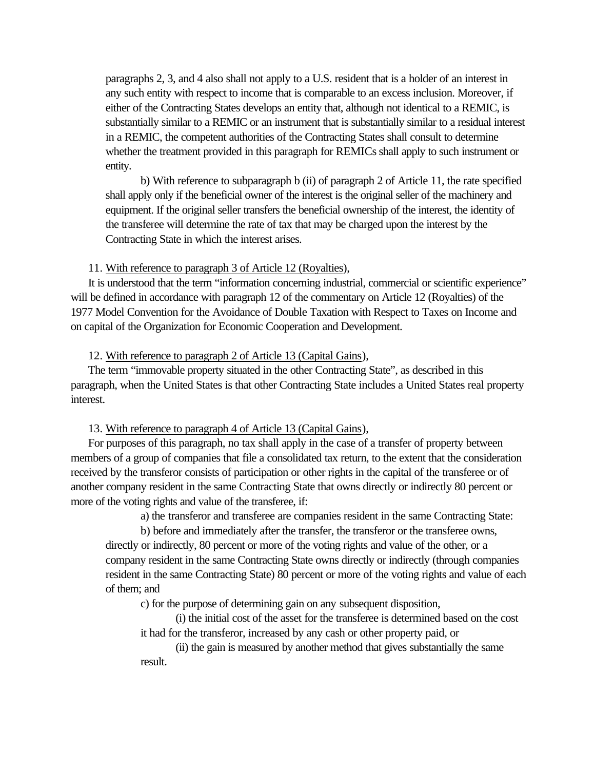paragraphs 2, 3, and 4 also shall not apply to a U.S. resident that is a holder of an interest in any such entity with respect to income that is comparable to an excess inclusion. Moreover, if either of the Contracting States develops an entity that, although not identical to a REMIC, is substantially similar to a REMIC or an instrument that is substantially similar to a residual interest in a REMIC, the competent authorities of the Contracting States shall consult to determine whether the treatment provided in this paragraph for REMICs shall apply to such instrument or entity.

b) With reference to subparagraph b (ii) of paragraph 2 of Article 11, the rate specified shall apply only if the beneficial owner of the interest is the original seller of the machinery and equipment. If the original seller transfers the beneficial ownership of the interest, the identity of the transferee will determine the rate of tax that may be charged upon the interest by the Contracting State in which the interest arises.

11. With reference to paragraph 3 of Article 12 (Royalties),

 It is understood that the term "information concerning industrial, commercial or scientific experience" will be defined in accordance with paragraph 12 of the commentary on Article 12 (Royalties) of the 1977 Model Convention for the Avoidance of Double Taxation with Respect to Taxes on Income and on capital of the Organization for Economic Cooperation and Development.

12. With reference to paragraph 2 of Article 13 (Capital Gains),

 The term "immovable property situated in the other Contracting State", as described in this paragraph, when the United States is that other Contracting State includes a United States real property interest.

13. With reference to paragraph 4 of Article 13 (Capital Gains),

 For purposes of this paragraph, no tax shall apply in the case of a transfer of property between members of a group of companies that file a consolidated tax return, to the extent that the consideration received by the transferor consists of participation or other rights in the capital of the transferee or of another company resident in the same Contracting State that owns directly or indirectly 80 percent or more of the voting rights and value of the transferee, if:

a) the transferor and transferee are companies resident in the same Contracting State:

b) before and immediately after the transfer, the transferor or the transferee owns, directly or indirectly, 80 percent or more of the voting rights and value of the other, or a company resident in the same Contracting State owns directly or indirectly (through companies resident in the same Contracting State) 80 percent or more of the voting rights and value of each of them; and

c) for the purpose of determining gain on any subsequent disposition,

(i) the initial cost of the asset for the transferee is determined based on the cost it had for the transferor, increased by any cash or other property paid, or

(ii) the gain is measured by another method that gives substantially the same result.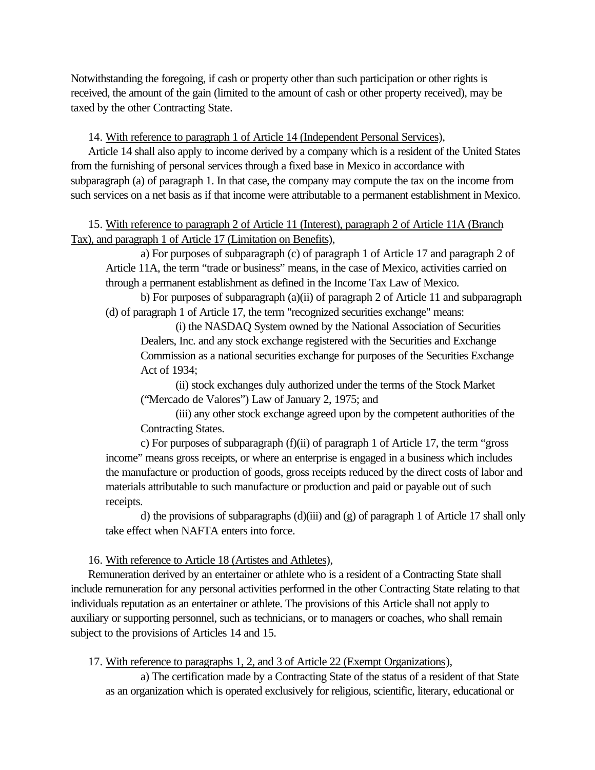Notwithstanding the foregoing, if cash or property other than such participation or other rights is received, the amount of the gain (limited to the amount of cash or other property received), may be taxed by the other Contracting State.

14. With reference to paragraph 1 of Article 14 (Independent Personal Services),

 Article 14 shall also apply to income derived by a company which is a resident of the United States from the furnishing of personal services through a fixed base in Mexico in accordance with subparagraph (a) of paragraph 1. In that case, the company may compute the tax on the income from such services on a net basis as if that income were attributable to a permanent establishment in Mexico.

### 15. With reference to paragraph 2 of Article 11 (Interest), paragraph 2 of Article 11A (Branch Tax), and paragraph 1 of Article 17 (Limitation on Benefits),

a) For purposes of subparagraph (c) of paragraph 1 of Article 17 and paragraph 2 of Article 11A, the term "trade or business" means, in the case of Mexico, activities carried on through a permanent establishment as defined in the Income Tax Law of Mexico.

b) For purposes of subparagraph (a)(ii) of paragraph 2 of Article 11 and subparagraph (d) of paragraph 1 of Article 17, the term "recognized securities exchange" means:

(i) the NASDAQ System owned by the National Association of Securities Dealers, Inc. and any stock exchange registered with the Securities and Exchange Commission as a national securities exchange for purposes of the Securities Exchange Act of 1934;

(ii) stock exchanges duly authorized under the terms of the Stock Market ("Mercado de Valores") Law of January 2, 1975; and

(iii) any other stock exchange agreed upon by the competent authorities of the Contracting States.

c) For purposes of subparagraph (f)(ii) of paragraph 1 of Article 17, the term "gross income" means gross receipts, or where an enterprise is engaged in a business which includes the manufacture or production of goods, gross receipts reduced by the direct costs of labor and materials attributable to such manufacture or production and paid or payable out of such receipts.

d) the provisions of subparagraphs  $(d)(iii)$  and  $(g)$  of paragraph 1 of Article 17 shall only take effect when NAFTA enters into force.

#### 16. With reference to Article 18 (Artistes and Athletes),

 Remuneration derived by an entertainer or athlete who is a resident of a Contracting State shall include remuneration for any personal activities performed in the other Contracting State relating to that individuals reputation as an entertainer or athlete. The provisions of this Article shall not apply to auxiliary or supporting personnel, such as technicians, or to managers or coaches, who shall remain subject to the provisions of Articles 14 and 15.

17. With reference to paragraphs 1, 2, and 3 of Article 22 (Exempt Organizations),

a) The certification made by a Contracting State of the status of a resident of that State as an organization which is operated exclusively for religious, scientific, literary, educational or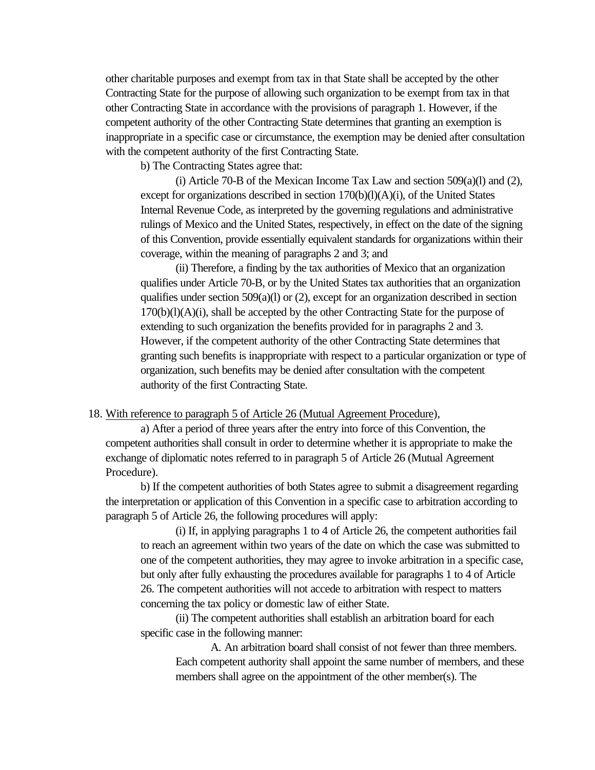other charitable purposes and exempt from tax in that State shall be accepted by the other Contracting State for the purpose of allowing such organization to be exempt from tax in that other Contracting State in accordance with the provisions of paragraph 1. However, if the competent authority of the other Contracting State determines that granting an exemption is inappropriate in a specific case or circumstance, the exemption may be denied after consultation with the competent authority of the first Contracting State.

b) The Contracting States agree that:

(i) Article 70-B of the Mexican Income Tax Law and section  $509(a)(l)$  and  $(2)$ , except for organizations described in section 170(b)(l)(A)(i), of the United States Internal Revenue Code, as interpreted by the governing regulations and administrative rulings of Mexico and the United States, respectively, in effect on the date of the signing of this Convention, provide essentially equivalent standards for organizations within their coverage, within the meaning of paragraphs 2 and 3; and

(ii) Therefore, a finding by the tax authorities of Mexico that an organization qualifies under Article 70-B, or by the United States tax authorities that an organization qualifies under section  $509(a)(l)$  or  $(2)$ , except for an organization described in section  $170(b)(l)(A)(i)$ , shall be accepted by the other Contracting State for the purpose of extending to such organization the benefits provided for in paragraphs 2 and 3. However, if the competent authority of the other Contracting State determines that granting such benefits is inappropriate with respect to a particular organization or type of organization, such benefits may be denied after consultation with the competent authority of the first Contracting State.

### 18. With reference to paragraph 5 of Article 26 (Mutual Agreement Procedure),

a) After a period of three years after the entry into force of this Convention, the competent authorities shall consult in order to determine whether it is appropriate to make the exchange of diplomatic notes referred to in paragraph 5 of Article 26 (Mutual Agreement Procedure).

b) If the competent authorities of both States agree to submit a disagreement regarding the interpretation or application of this Convention in a specific case to arbitration according to paragraph 5 of Article 26, the following procedures will apply:

(i) If, in applying paragraphs 1 to 4 of Article 26, the competent authorities fail to reach an agreement within two years of the date on which the case was submitted to one of the competent authorities, they may agree to invoke arbitration in a specific case, but only after fully exhausting the procedures available for paragraphs 1 to 4 of Article 26. The competent authorities will not accede to arbitration with respect to matters concerning the tax policy or domestic law of either State.

(ii) The competent authorities shall establish an arbitration board for each specific case in the following manner:

A. An arbitration board shall consist of not fewer than three members. Each competent authority shall appoint the same number of members, and these members shall agree on the appointment of the other member(s). The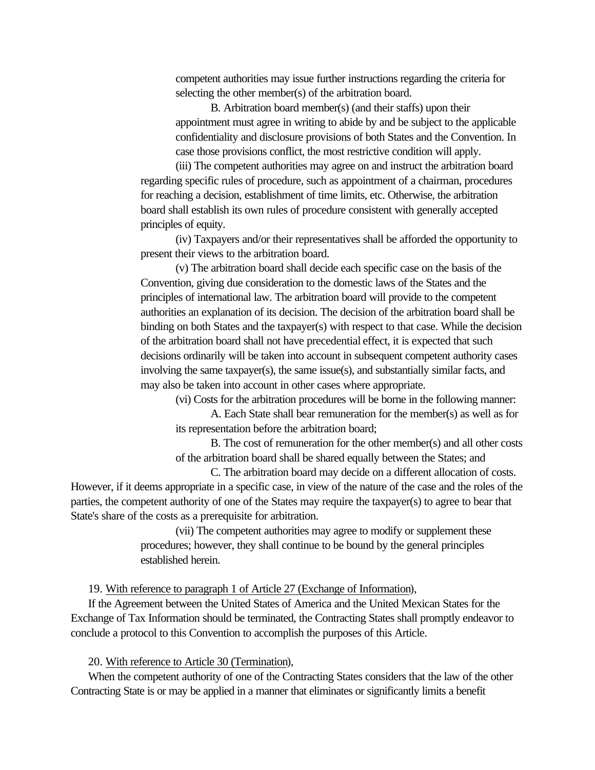competent authorities may issue further instructions regarding the criteria for selecting the other member(s) of the arbitration board.

B. Arbitration board member(s) (and their staffs) upon their appointment must agree in writing to abide by and be subject to the applicable confidentiality and disclosure provisions of both States and the Convention. In case those provisions conflict, the most restrictive condition will apply.

(iii) The competent authorities may agree on and instruct the arbitration board regarding specific rules of procedure, such as appointment of a chairman, procedures for reaching a decision, establishment of time limits, etc. Otherwise, the arbitration board shall establish its own rules of procedure consistent with generally accepted principles of equity.

(iv) Taxpayers and/or their representatives shall be afforded the opportunity to present their views to the arbitration board.

(v) The arbitration board shall decide each specific case on the basis of the Convention, giving due consideration to the domestic laws of the States and the principles of international law. The arbitration board will provide to the competent authorities an explanation of its decision. The decision of the arbitration board shall be binding on both States and the taxpayer(s) with respect to that case. While the decision of the arbitration board shall not have precedential effect, it is expected that such decisions ordinarily will be taken into account in subsequent competent authority cases involving the same taxpayer(s), the same issue(s), and substantially similar facts, and may also be taken into account in other cases where appropriate.

(vi) Costs for the arbitration procedures will be borne in the following manner:

A. Each State shall bear remuneration for the member(s) as well as for its representation before the arbitration board;

B. The cost of remuneration for the other member(s) and all other costs of the arbitration board shall be shared equally between the States; and

C. The arbitration board may decide on a different allocation of costs. However, if it deems appropriate in a specific case, in view of the nature of the case and the roles of the parties, the competent authority of one of the States may require the taxpayer(s) to agree to bear that State's share of the costs as a prerequisite for arbitration.

> (vii) The competent authorities may agree to modify or supplement these procedures; however, they shall continue to be bound by the general principles established herein.

19. With reference to paragraph 1 of Article 27 (Exchange of Information),

 If the Agreement between the United States of America and the United Mexican States for the Exchange of Tax Information should be terminated, the Contracting States shall promptly endeavor to conclude a protocol to this Convention to accomplish the purposes of this Article.

#### 20. With reference to Article 30 (Termination),

 When the competent authority of one of the Contracting States considers that the law of the other Contracting State is or may be applied in a manner that eliminates or significantly limits a benefit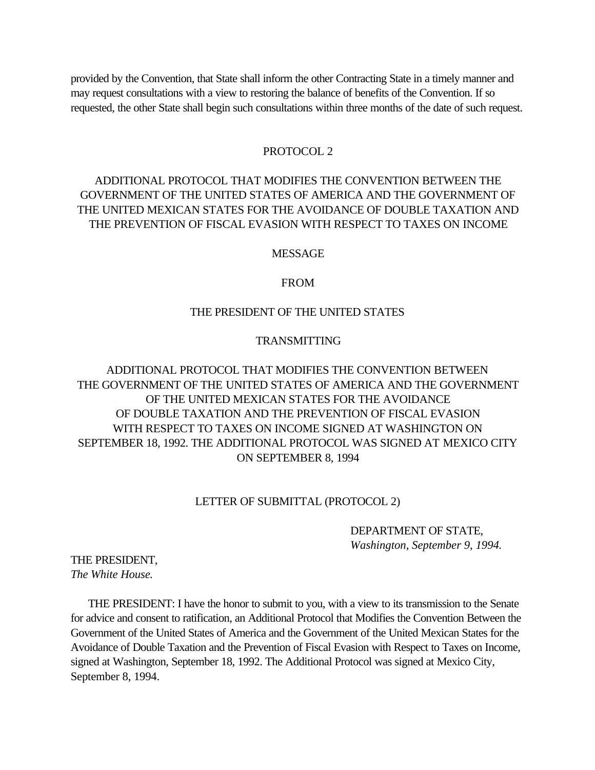<span id="page-34-0"></span>provided by the Convention, that State shall inform the other Contracting State in a timely manner and may request consultations with a view to restoring the balance of benefits of the Convention. If so requested, the other State shall begin such consultations within three months of the date of such request.

#### PROTOCOL 2

# ADDITIONAL PROTOCOL THAT MODIFIES THE CONVENTION BETWEEN THE GOVERNMENT OF THE UNITED STATES OF AMERICA AND THE GOVERNMENT OF THE UNITED MEXICAN STATES FOR THE AVOIDANCE OF DOUBLE TAXATION AND THE PREVENTION OF FISCAL EVASION WITH RESPECT TO TAXES ON INCOME

#### **MESSAGE**

#### FROM

### THE PRESIDENT OF THE UNITED STATES

#### TRANSMITTING

# ADDITIONAL PROTOCOL THAT MODIFIES THE CONVENTION BETWEEN THE GOVERNMENT OF THE UNITED STATES OF AMERICA AND THE GOVERNMENT OF THE UNITED MEXICAN STATES FOR THE AVOIDANCE OF DOUBLE TAXATION AND THE PREVENTION OF FISCAL EVASION WITH RESPECT TO TAXES ON INCOME SIGNED AT WASHINGTON ON SEPTEMBER 18, 1992. THE ADDITIONAL PROTOCOL WAS SIGNED AT MEXICO CITY ON SEPTEMBER 8, 1994

#### LETTER OF SUBMITTAL (PROTOCOL 2)

# DEPARTMENT OF STATE, *Washington, September 9, 1994.*

THE PRESIDENT, *The White House.*

 THE PRESIDENT: I have the honor to submit to you, with a view to its transmission to the Senate for advice and consent to ratification, an Additional Protocol that Modifies the Convention Between the Government of the United States of America and the Government of the United Mexican States for the Avoidance of Double Taxation and the Prevention of Fiscal Evasion with Respect to Taxes on Income, signed at Washington, September 18, 1992. The Additional Protocol was signed at Mexico City, September 8, 1994.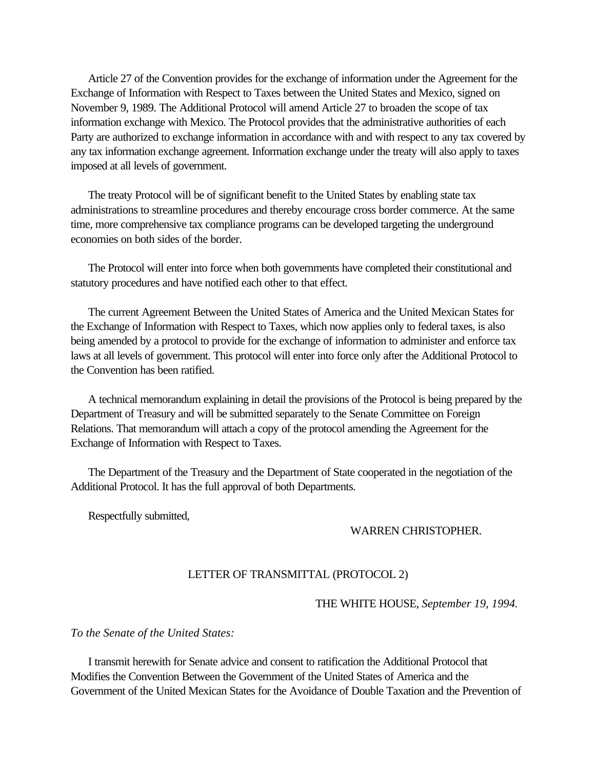<span id="page-35-0"></span> Article 27 of the Convention provides for the exchange of information under the Agreement for the Exchange of Information with Respect to Taxes between the United States and Mexico, signed on November 9, 1989. The Additional Protocol will amend Article 27 to broaden the scope of tax information exchange with Mexico. The Protocol provides that the administrative authorities of each Party are authorized to exchange information in accordance with and with respect to any tax covered by any tax information exchange agreement. Information exchange under the treaty will also apply to taxes imposed at all levels of government.

 The treaty Protocol will be of significant benefit to the United States by enabling state tax administrations to streamline procedures and thereby encourage cross border commerce. At the same time, more comprehensive tax compliance programs can be developed targeting the underground economies on both sides of the border.

 The Protocol will enter into force when both governments have completed their constitutional and statutory procedures and have notified each other to that effect.

 The current Agreement Between the United States of America and the United Mexican States for the Exchange of Information with Respect to Taxes, which now applies only to federal taxes, is also being amended by a protocol to provide for the exchange of information to administer and enforce tax laws at all levels of government. This protocol will enter into force only after the Additional Protocol to the Convention has been ratified.

 A technical memorandum explaining in detail the provisions of the Protocol is being prepared by the Department of Treasury and will be submitted separately to the Senate Committee on Foreign Relations. That memorandum will attach a copy of the protocol amending the Agreement for the Exchange of Information with Respect to Taxes.

 The Department of the Treasury and the Department of State cooperated in the negotiation of the Additional Protocol. It has the full approval of both Departments.

Respectfully submitted,

### WARREN CHRISTOPHER.

### LETTER OF TRANSMITTAL (PROTOCOL 2)

### THE WHITE HOUSE, *September 19, 1994.*

*To the Senate of the United States:*

 I transmit herewith for Senate advice and consent to ratification the Additional Protocol that Modifies the Convention Between the Government of the United States of America and the Government of the United Mexican States for the Avoidance of Double Taxation and the Prevention of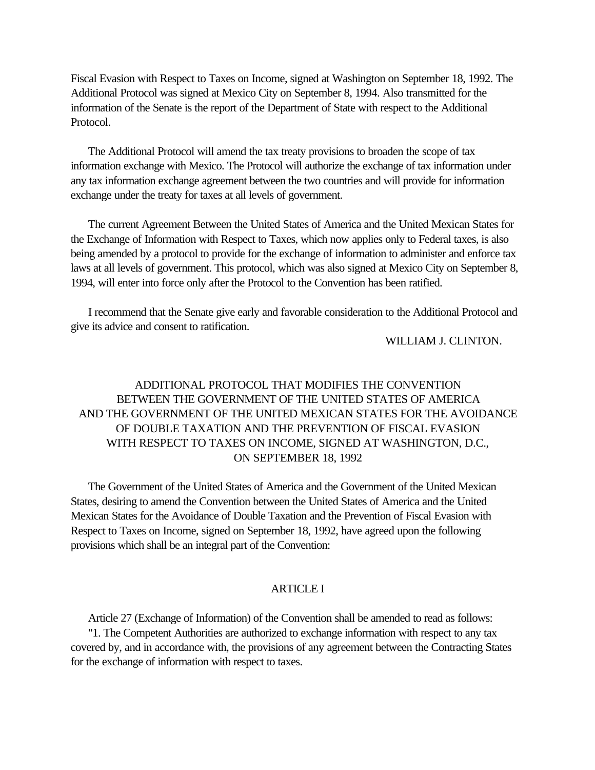Fiscal Evasion with Respect to Taxes on Income, signed at Washington on September 18, 1992. The Additional Protocol was signed at Mexico City on September 8, 1994. Also transmitted for the information of the Senate is the report of the Department of State with respect to the Additional Protocol.

 The Additional Protocol will amend the tax treaty provisions to broaden the scope of tax information exchange with Mexico. The Protocol will authorize the exchange of tax information under any tax information exchange agreement between the two countries and will provide for information exchange under the treaty for taxes at all levels of government.

 The current Agreement Between the United States of America and the United Mexican States for the Exchange of Information with Respect to Taxes, which now applies only to Federal taxes, is also being amended by a protocol to provide for the exchange of information to administer and enforce tax laws at all levels of government. This protocol, which was also signed at Mexico City on September 8, 1994, will enter into force only after the Protocol to the Convention has been ratified.

 I recommend that the Senate give early and favorable consideration to the Additional Protocol and give its advice and consent to ratification.

WILLIAM J. CLINTON.

# ADDITIONAL PROTOCOL THAT MODIFIES THE CONVENTION BETWEEN THE GOVERNMENT OF THE UNITED STATES OF AMERICA AND THE GOVERNMENT OF THE UNITED MEXICAN STATES FOR THE AVOIDANCE OF DOUBLE TAXATION AND THE PREVENTION OF FISCAL EVASION WITH RESPECT TO TAXES ON INCOME, SIGNED AT WASHINGTON, D.C., ON SEPTEMBER 18, 1992

 The Government of the United States of America and the Government of the United Mexican States, desiring to amend the Convention between the United States of America and the United Mexican States for the Avoidance of Double Taxation and the Prevention of Fiscal Evasion with Respect to Taxes on Income, signed on September 18, 1992, have agreed upon the following provisions which shall be an integral part of the Convention:

#### ARTICLE I

 Article 27 (Exchange of Information) of the Convention shall be amended to read as follows: "1. The Competent Authorities are authorized to exchange information with respect to any tax covered by, and in accordance with, the provisions of any agreement between the Contracting States for the exchange of information with respect to taxes.